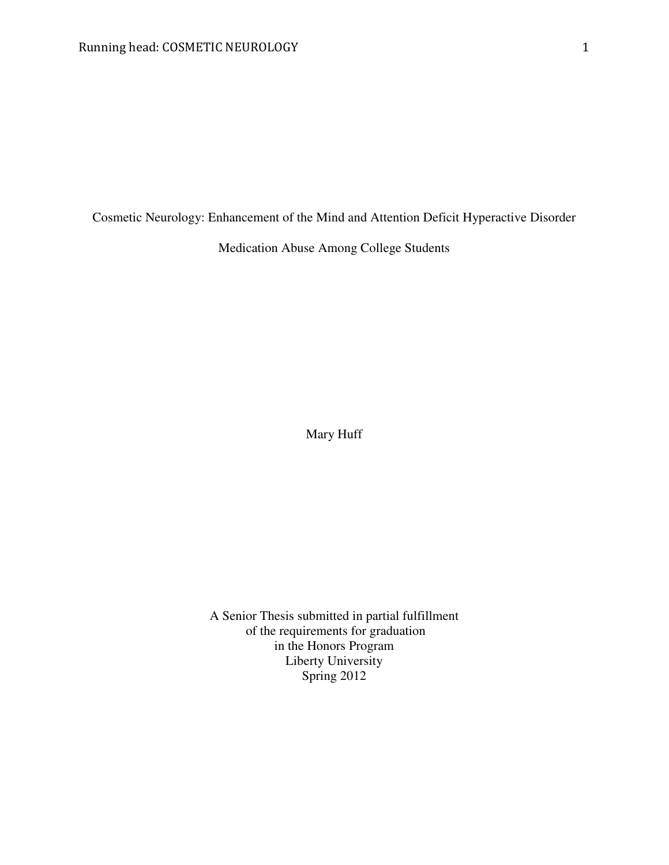Cosmetic Neurology: Enhancement of the Mind and Attention Deficit Hyperactive Disorder

Medication Abuse Among College Students

Mary Huff

A Senior Thesis submitted in partial fulfillment of the requirements for graduation in the Honors Program Liberty University Spring 2012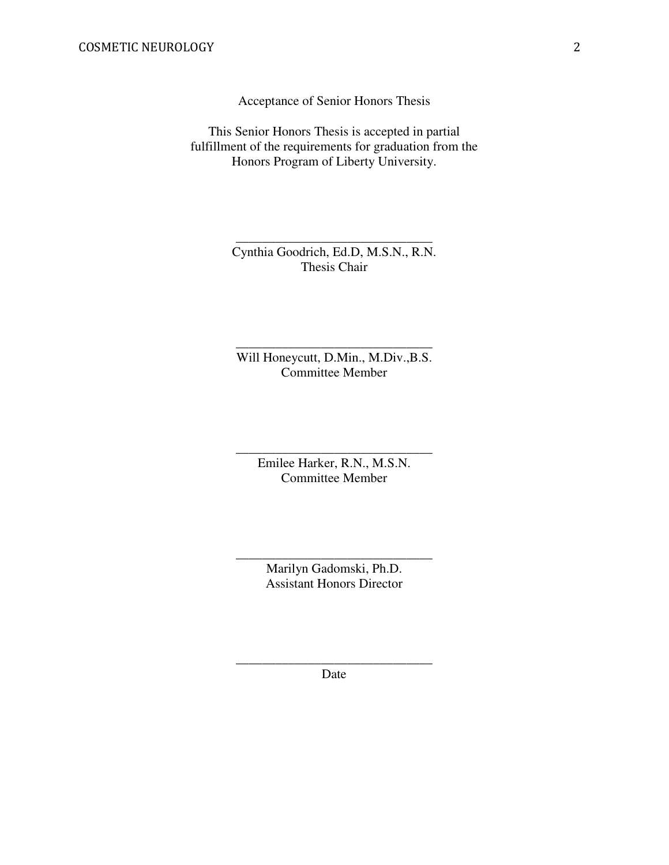Acceptance of Senior Honors Thesis

This Senior Honors Thesis is accepted in partial fulfillment of the requirements for graduation from the Honors Program of Liberty University.

> Cynthia Goodrich, Ed.D, M.S.N., R.N. Thesis Chair

\_\_\_\_\_\_\_\_\_\_\_\_\_\_\_\_\_\_\_\_\_\_\_\_\_\_\_\_\_\_

Will Honeycutt, D.Min., M.Div.,B.S. Committee Member

\_\_\_\_\_\_\_\_\_\_\_\_\_\_\_\_\_\_\_\_\_\_\_\_\_\_\_\_\_\_

Emilee Harker, R.N., M.S.N. Committee Member

\_\_\_\_\_\_\_\_\_\_\_\_\_\_\_\_\_\_\_\_\_\_\_\_\_\_\_\_\_\_

Marilyn Gadomski, Ph.D. Assistant Honors Director

\_\_\_\_\_\_\_\_\_\_\_\_\_\_\_\_\_\_\_\_\_\_\_\_\_\_\_\_\_\_

\_\_\_\_\_\_\_\_\_\_\_\_\_\_\_\_\_\_\_\_\_\_\_\_\_\_\_\_\_\_ Date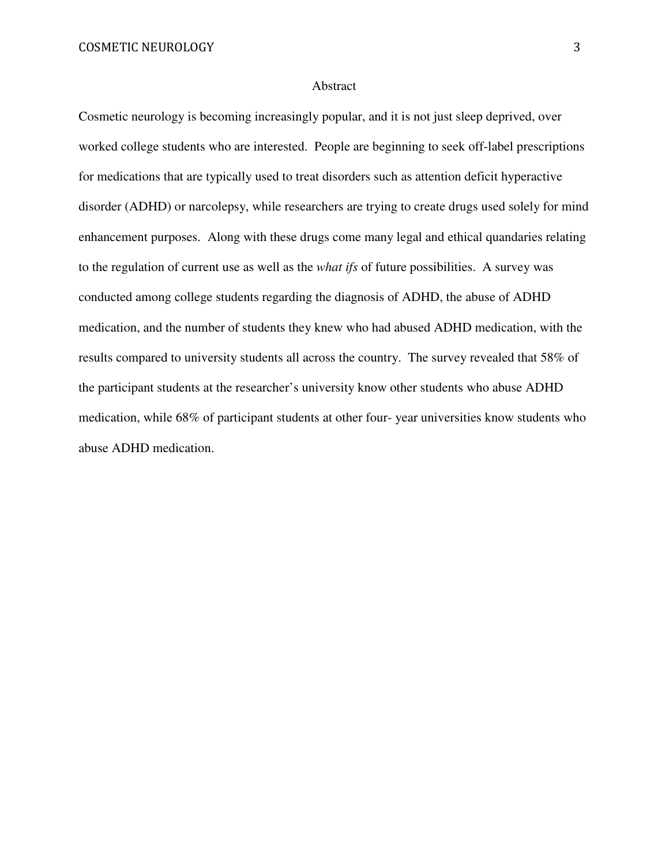#### Abstract

Cosmetic neurology is becoming increasingly popular, and it is not just sleep deprived, over worked college students who are interested. People are beginning to seek off-label prescriptions for medications that are typically used to treat disorders such as attention deficit hyperactive disorder (ADHD) or narcolepsy, while researchers are trying to create drugs used solely for mind enhancement purposes. Along with these drugs come many legal and ethical quandaries relating to the regulation of current use as well as the *what ifs* of future possibilities. A survey was conducted among college students regarding the diagnosis of ADHD, the abuse of ADHD medication, and the number of students they knew who had abused ADHD medication, with the results compared to university students all across the country. The survey revealed that 58% of the participant students at the researcher's university know other students who abuse ADHD medication, while 68% of participant students at other four- year universities know students who abuse ADHD medication.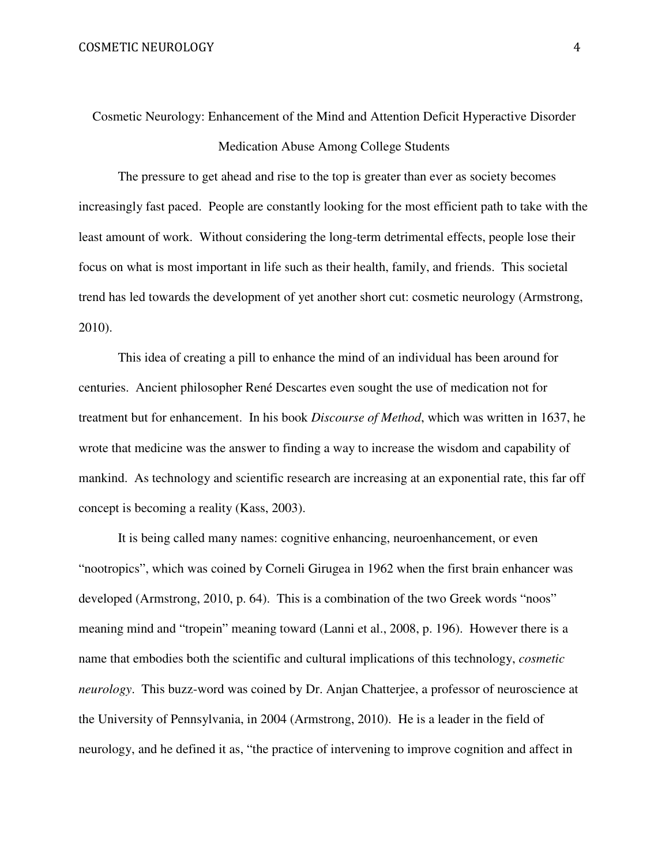Cosmetic Neurology: Enhancement of the Mind and Attention Deficit Hyperactive Disorder Medication Abuse Among College Students

The pressure to get ahead and rise to the top is greater than ever as society becomes increasingly fast paced. People are constantly looking for the most efficient path to take with the least amount of work. Without considering the long-term detrimental effects, people lose their focus on what is most important in life such as their health, family, and friends. This societal trend has led towards the development of yet another short cut: cosmetic neurology (Armstrong, 2010).

This idea of creating a pill to enhance the mind of an individual has been around for centuries. Ancient philosopher René Descartes even sought the use of medication not for treatment but for enhancement. In his book *Discourse of Method*, which was written in 1637, he wrote that medicine was the answer to finding a way to increase the wisdom and capability of mankind. As technology and scientific research are increasing at an exponential rate, this far off concept is becoming a reality (Kass, 2003).

It is being called many names: cognitive enhancing, neuroenhancement, or even "nootropics", which was coined by Corneli Girugea in 1962 when the first brain enhancer was developed (Armstrong, 2010, p. 64). This is a combination of the two Greek words "noos" meaning mind and "tropein" meaning toward (Lanni et al., 2008, p. 196). However there is a name that embodies both the scientific and cultural implications of this technology, *cosmetic neurology*. This buzz-word was coined by Dr. Anjan Chatterjee, a professor of neuroscience at the University of Pennsylvania, in 2004 (Armstrong, 2010). He is a leader in the field of neurology, and he defined it as, "the practice of intervening to improve cognition and affect in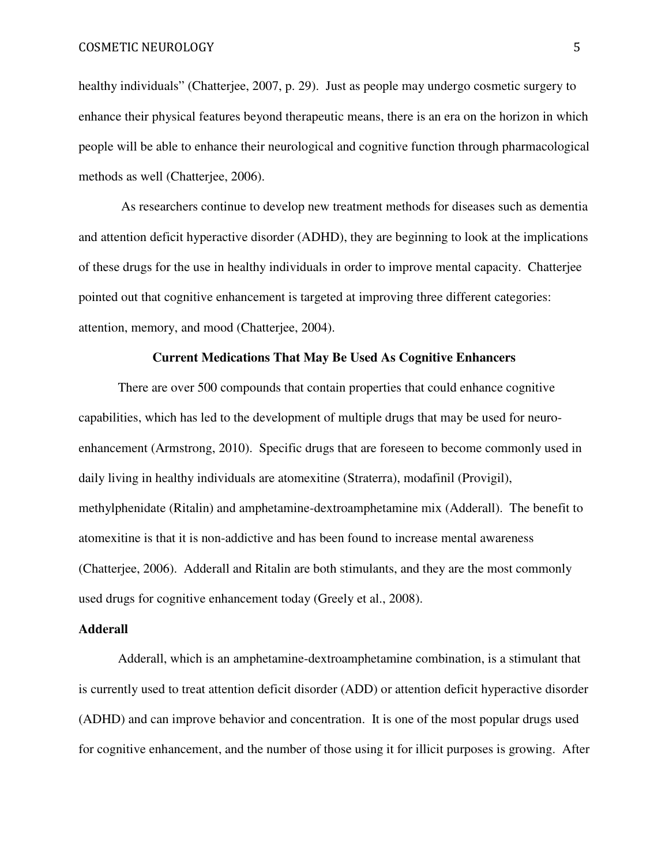healthy individuals" (Chatterjee, 2007, p. 29). Just as people may undergo cosmetic surgery to enhance their physical features beyond therapeutic means, there is an era on the horizon in which people will be able to enhance their neurological and cognitive function through pharmacological methods as well (Chatterjee, 2006).

 As researchers continue to develop new treatment methods for diseases such as dementia and attention deficit hyperactive disorder (ADHD), they are beginning to look at the implications of these drugs for the use in healthy individuals in order to improve mental capacity. Chatterjee pointed out that cognitive enhancement is targeted at improving three different categories: attention, memory, and mood (Chatterjee, 2004).

# **Current Medications That May Be Used As Cognitive Enhancers**

There are over 500 compounds that contain properties that could enhance cognitive capabilities, which has led to the development of multiple drugs that may be used for neuroenhancement (Armstrong, 2010). Specific drugs that are foreseen to become commonly used in daily living in healthy individuals are atomexitine (Straterra), modafinil (Provigil), methylphenidate (Ritalin) and amphetamine-dextroamphetamine mix (Adderall). The benefit to atomexitine is that it is non-addictive and has been found to increase mental awareness (Chatterjee, 2006). Adderall and Ritalin are both stimulants, and they are the most commonly used drugs for cognitive enhancement today (Greely et al., 2008).

# **Adderall**

Adderall, which is an amphetamine-dextroamphetamine combination, is a stimulant that is currently used to treat attention deficit disorder (ADD) or attention deficit hyperactive disorder (ADHD) and can improve behavior and concentration. It is one of the most popular drugs used for cognitive enhancement, and the number of those using it for illicit purposes is growing. After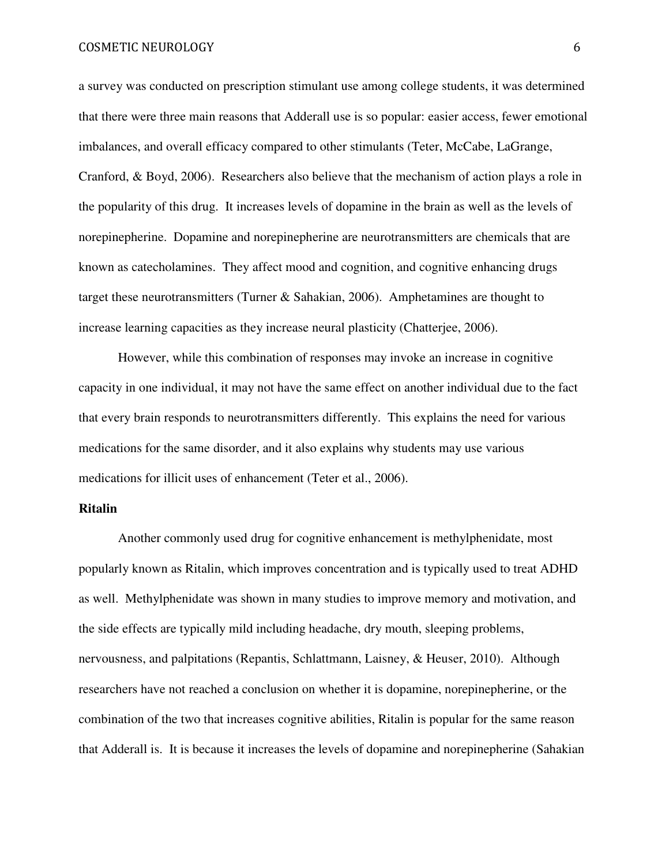a survey was conducted on prescription stimulant use among college students, it was determined that there were three main reasons that Adderall use is so popular: easier access, fewer emotional imbalances, and overall efficacy compared to other stimulants (Teter, McCabe, LaGrange, Cranford, & Boyd, 2006). Researchers also believe that the mechanism of action plays a role in the popularity of this drug. It increases levels of dopamine in the brain as well as the levels of norepinepherine. Dopamine and norepinepherine are neurotransmitters are chemicals that are known as catecholamines. They affect mood and cognition, and cognitive enhancing drugs target these neurotransmitters (Turner & Sahakian, 2006). Amphetamines are thought to increase learning capacities as they increase neural plasticity (Chatterjee, 2006).

However, while this combination of responses may invoke an increase in cognitive capacity in one individual, it may not have the same effect on another individual due to the fact that every brain responds to neurotransmitters differently. This explains the need for various medications for the same disorder, and it also explains why students may use various medications for illicit uses of enhancement (Teter et al., 2006).

# **Ritalin**

Another commonly used drug for cognitive enhancement is methylphenidate, most popularly known as Ritalin, which improves concentration and is typically used to treat ADHD as well. Methylphenidate was shown in many studies to improve memory and motivation, and the side effects are typically mild including headache, dry mouth, sleeping problems, nervousness, and palpitations (Repantis, Schlattmann, Laisney, & Heuser, 2010). Although researchers have not reached a conclusion on whether it is dopamine, norepinepherine, or the combination of the two that increases cognitive abilities, Ritalin is popular for the same reason that Adderall is. It is because it increases the levels of dopamine and norepinepherine (Sahakian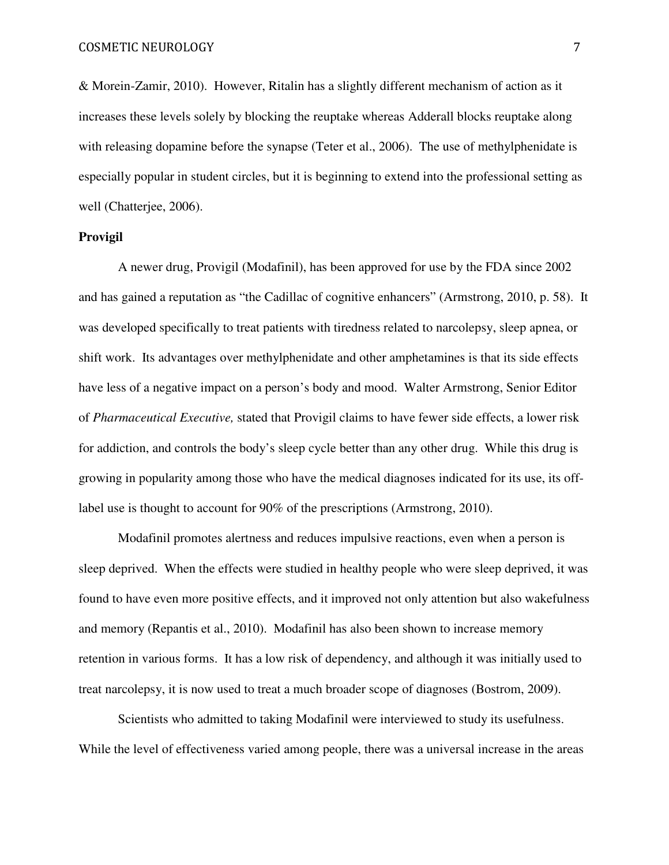& Morein-Zamir, 2010). However, Ritalin has a slightly different mechanism of action as it increases these levels solely by blocking the reuptake whereas Adderall blocks reuptake along with releasing dopamine before the synapse (Teter et al., 2006). The use of methylphenidate is especially popular in student circles, but it is beginning to extend into the professional setting as well (Chatterjee, 2006).

# **Provigil**

A newer drug, Provigil (Modafinil), has been approved for use by the FDA since 2002 and has gained a reputation as "the Cadillac of cognitive enhancers" (Armstrong, 2010, p. 58). It was developed specifically to treat patients with tiredness related to narcolepsy, sleep apnea, or shift work. Its advantages over methylphenidate and other amphetamines is that its side effects have less of a negative impact on a person's body and mood. Walter Armstrong, Senior Editor of *Pharmaceutical Executive,* stated that Provigil claims to have fewer side effects, a lower risk for addiction, and controls the body's sleep cycle better than any other drug. While this drug is growing in popularity among those who have the medical diagnoses indicated for its use, its offlabel use is thought to account for 90% of the prescriptions (Armstrong, 2010).

Modafinil promotes alertness and reduces impulsive reactions, even when a person is sleep deprived. When the effects were studied in healthy people who were sleep deprived, it was found to have even more positive effects, and it improved not only attention but also wakefulness and memory (Repantis et al., 2010). Modafinil has also been shown to increase memory retention in various forms. It has a low risk of dependency, and although it was initially used to treat narcolepsy, it is now used to treat a much broader scope of diagnoses (Bostrom, 2009).

Scientists who admitted to taking Modafinil were interviewed to study its usefulness. While the level of effectiveness varied among people, there was a universal increase in the areas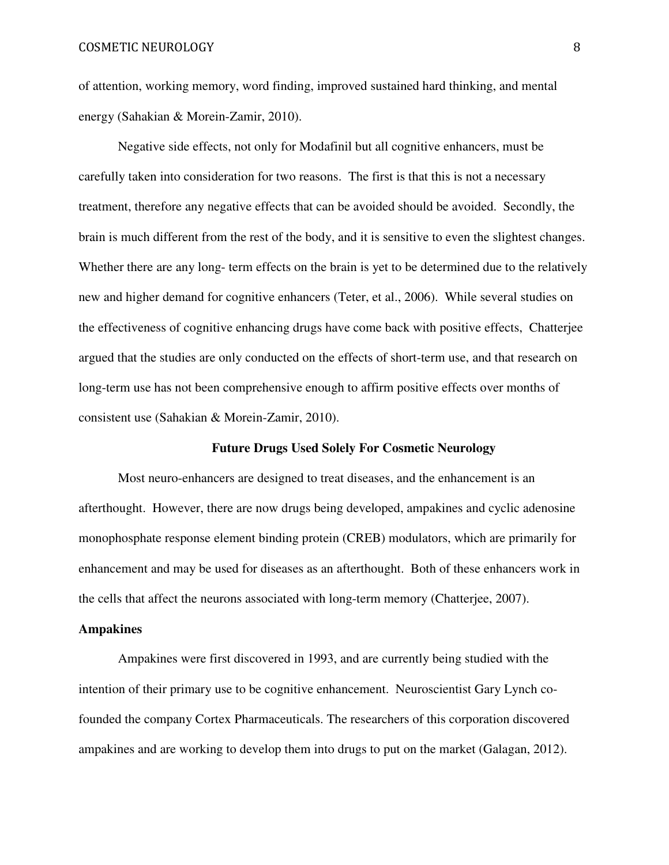of attention, working memory, word finding, improved sustained hard thinking, and mental energy (Sahakian & Morein-Zamir, 2010).

Negative side effects, not only for Modafinil but all cognitive enhancers, must be carefully taken into consideration for two reasons. The first is that this is not a necessary treatment, therefore any negative effects that can be avoided should be avoided. Secondly, the brain is much different from the rest of the body, and it is sensitive to even the slightest changes. Whether there are any long- term effects on the brain is yet to be determined due to the relatively new and higher demand for cognitive enhancers (Teter, et al., 2006). While several studies on the effectiveness of cognitive enhancing drugs have come back with positive effects, Chatterjee argued that the studies are only conducted on the effects of short-term use, and that research on long-term use has not been comprehensive enough to affirm positive effects over months of consistent use (Sahakian & Morein-Zamir, 2010).

### **Future Drugs Used Solely For Cosmetic Neurology**

Most neuro-enhancers are designed to treat diseases, and the enhancement is an afterthought. However, there are now drugs being developed, ampakines and cyclic adenosine monophosphate response element binding protein (CREB) modulators, which are primarily for enhancement and may be used for diseases as an afterthought. Both of these enhancers work in the cells that affect the neurons associated with long-term memory (Chatterjee, 2007).

#### **Ampakines**

Ampakines were first discovered in 1993, and are currently being studied with the intention of their primary use to be cognitive enhancement. Neuroscientist Gary Lynch cofounded the company Cortex Pharmaceuticals. The researchers of this corporation discovered ampakines and are working to develop them into drugs to put on the market (Galagan, 2012).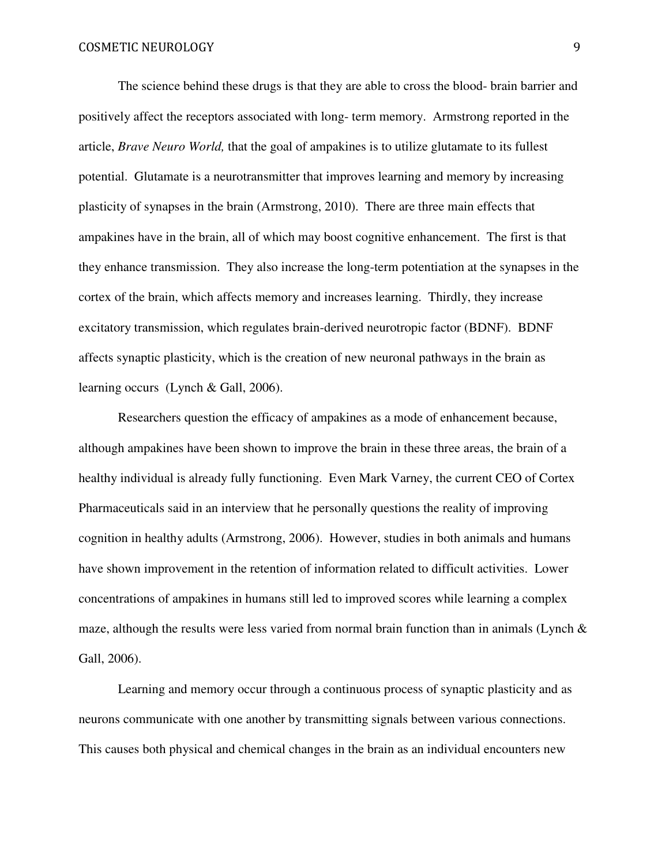The science behind these drugs is that they are able to cross the blood- brain barrier and positively affect the receptors associated with long- term memory. Armstrong reported in the article, *Brave Neuro World,* that the goal of ampakines is to utilize glutamate to its fullest potential. Glutamate is a neurotransmitter that improves learning and memory by increasing plasticity of synapses in the brain (Armstrong, 2010). There are three main effects that ampakines have in the brain, all of which may boost cognitive enhancement. The first is that they enhance transmission. They also increase the long-term potentiation at the synapses in the cortex of the brain, which affects memory and increases learning. Thirdly, they increase excitatory transmission, which regulates brain-derived neurotropic factor (BDNF). BDNF affects synaptic plasticity, which is the creation of new neuronal pathways in the brain as learning occurs (Lynch & Gall, 2006).

Researchers question the efficacy of ampakines as a mode of enhancement because, although ampakines have been shown to improve the brain in these three areas, the brain of a healthy individual is already fully functioning. Even Mark Varney, the current CEO of Cortex Pharmaceuticals said in an interview that he personally questions the reality of improving cognition in healthy adults (Armstrong, 2006). However, studies in both animals and humans have shown improvement in the retention of information related to difficult activities. Lower concentrations of ampakines in humans still led to improved scores while learning a complex maze, although the results were less varied from normal brain function than in animals (Lynch  $\&$ Gall, 2006).

Learning and memory occur through a continuous process of synaptic plasticity and as neurons communicate with one another by transmitting signals between various connections. This causes both physical and chemical changes in the brain as an individual encounters new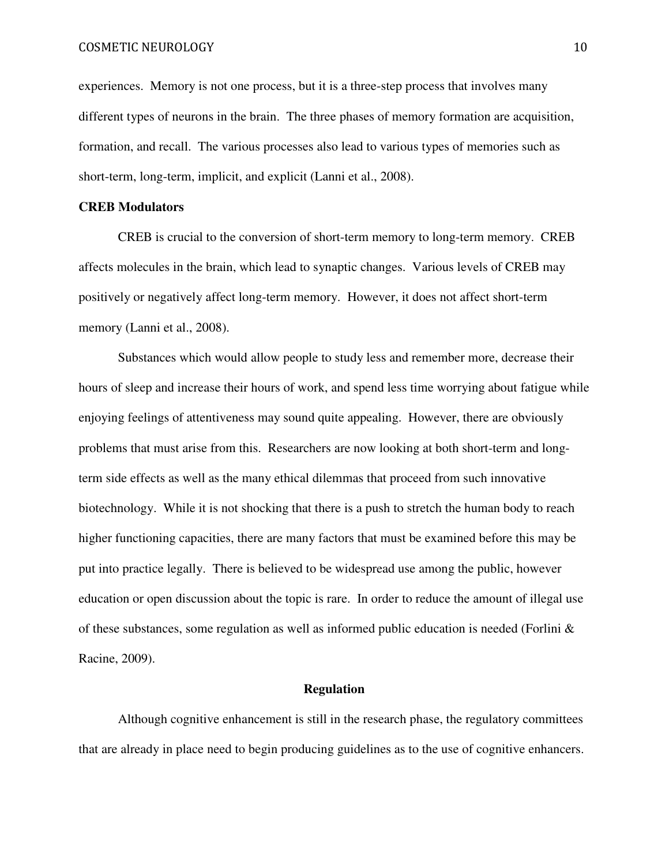experiences. Memory is not one process, but it is a three-step process that involves many different types of neurons in the brain. The three phases of memory formation are acquisition, formation, and recall. The various processes also lead to various types of memories such as short-term, long-term, implicit, and explicit (Lanni et al., 2008).

# **CREB Modulators**

 CREB is crucial to the conversion of short-term memory to long-term memory. CREB affects molecules in the brain, which lead to synaptic changes. Various levels of CREB may positively or negatively affect long-term memory. However, it does not affect short-term memory (Lanni et al., 2008).

Substances which would allow people to study less and remember more, decrease their hours of sleep and increase their hours of work, and spend less time worrying about fatigue while enjoying feelings of attentiveness may sound quite appealing. However, there are obviously problems that must arise from this. Researchers are now looking at both short-term and longterm side effects as well as the many ethical dilemmas that proceed from such innovative biotechnology. While it is not shocking that there is a push to stretch the human body to reach higher functioning capacities, there are many factors that must be examined before this may be put into practice legally. There is believed to be widespread use among the public, however education or open discussion about the topic is rare. In order to reduce the amount of illegal use of these substances, some regulation as well as informed public education is needed (Forlini  $\&$ Racine, 2009).

# **Regulation**

Although cognitive enhancement is still in the research phase, the regulatory committees that are already in place need to begin producing guidelines as to the use of cognitive enhancers.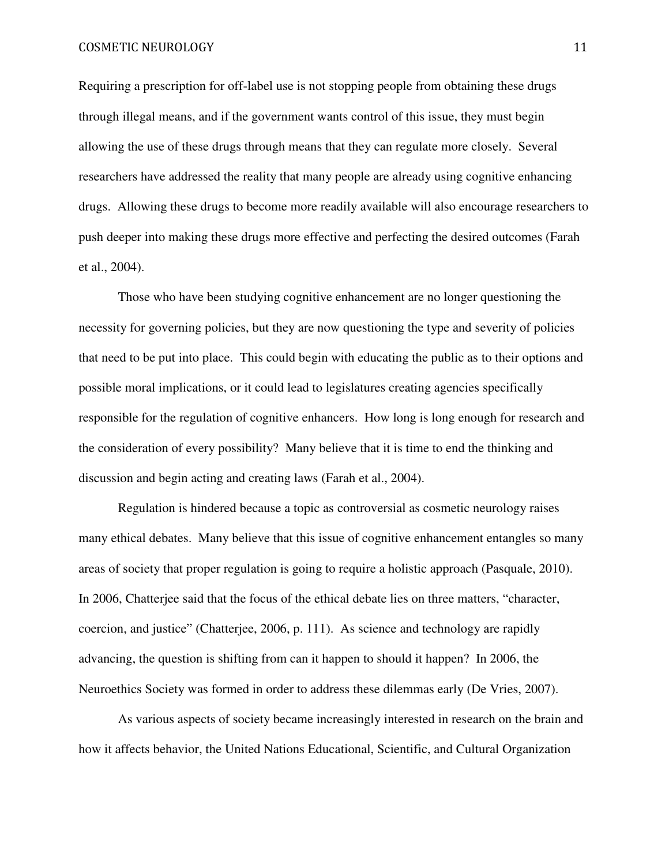Requiring a prescription for off-label use is not stopping people from obtaining these drugs through illegal means, and if the government wants control of this issue, they must begin allowing the use of these drugs through means that they can regulate more closely. Several researchers have addressed the reality that many people are already using cognitive enhancing drugs. Allowing these drugs to become more readily available will also encourage researchers to push deeper into making these drugs more effective and perfecting the desired outcomes (Farah et al., 2004).

Those who have been studying cognitive enhancement are no longer questioning the necessity for governing policies, but they are now questioning the type and severity of policies that need to be put into place. This could begin with educating the public as to their options and possible moral implications, or it could lead to legislatures creating agencies specifically responsible for the regulation of cognitive enhancers. How long is long enough for research and the consideration of every possibility? Many believe that it is time to end the thinking and discussion and begin acting and creating laws (Farah et al., 2004).

Regulation is hindered because a topic as controversial as cosmetic neurology raises many ethical debates. Many believe that this issue of cognitive enhancement entangles so many areas of society that proper regulation is going to require a holistic approach (Pasquale, 2010). In 2006, Chatterjee said that the focus of the ethical debate lies on three matters, "character, coercion, and justice" (Chatterjee, 2006, p. 111). As science and technology are rapidly advancing, the question is shifting from can it happen to should it happen?In 2006, the Neuroethics Society was formed in order to address these dilemmas early (De Vries, 2007).

As various aspects of society became increasingly interested in research on the brain and how it affects behavior, the United Nations Educational, Scientific, and Cultural Organization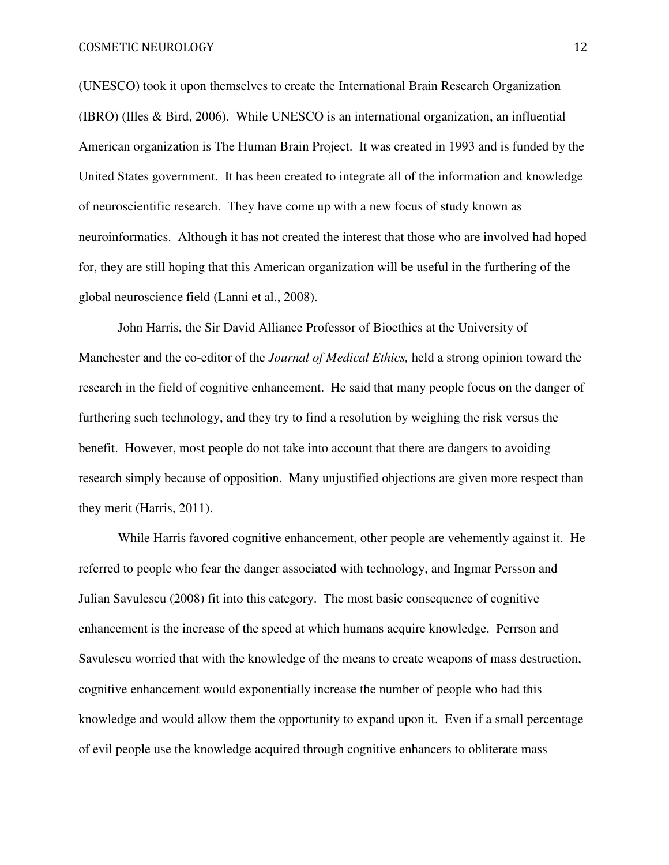COSMETIC NEUROLOGY 12

(UNESCO) took it upon themselves to create the International Brain Research Organization (IBRO) (Illes & Bird, 2006). While UNESCO is an international organization, an influential American organization is The Human Brain Project. It was created in 1993 and is funded by the United States government. It has been created to integrate all of the information and knowledge of neuroscientific research. They have come up with a new focus of study known as neuroinformatics. Although it has not created the interest that those who are involved had hoped for, they are still hoping that this American organization will be useful in the furthering of the global neuroscience field (Lanni et al., 2008).

John Harris, the Sir David Alliance Professor of Bioethics at the University of Manchester and the co-editor of the *Journal of Medical Ethics,* held a strong opinion toward the research in the field of cognitive enhancement. He said that many people focus on the danger of furthering such technology, and they try to find a resolution by weighing the risk versus the benefit. However, most people do not take into account that there are dangers to avoiding research simply because of opposition. Many unjustified objections are given more respect than they merit (Harris, 2011).

While Harris favored cognitive enhancement, other people are vehemently against it. He referred to people who fear the danger associated with technology, and Ingmar Persson and Julian Savulescu (2008) fit into this category. The most basic consequence of cognitive enhancement is the increase of the speed at which humans acquire knowledge. Perrson and Savulescu worried that with the knowledge of the means to create weapons of mass destruction, cognitive enhancement would exponentially increase the number of people who had this knowledge and would allow them the opportunity to expand upon it. Even if a small percentage of evil people use the knowledge acquired through cognitive enhancers to obliterate mass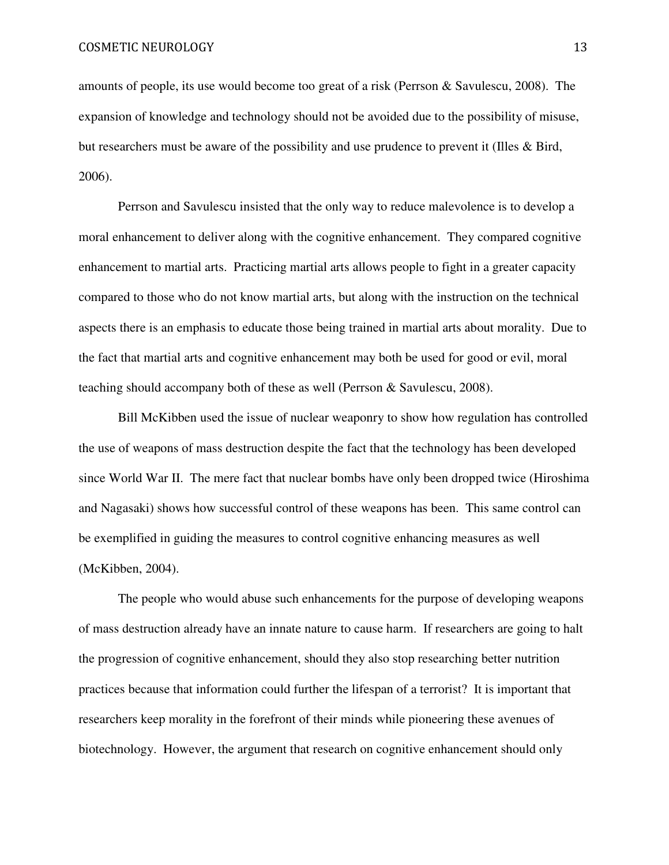amounts of people, its use would become too great of a risk (Perrson & Savulescu, 2008). The expansion of knowledge and technology should not be avoided due to the possibility of misuse, but researchers must be aware of the possibility and use prudence to prevent it (Illes & Bird, 2006).

Perrson and Savulescu insisted that the only way to reduce malevolence is to develop a moral enhancement to deliver along with the cognitive enhancement. They compared cognitive enhancement to martial arts. Practicing martial arts allows people to fight in a greater capacity compared to those who do not know martial arts, but along with the instruction on the technical aspects there is an emphasis to educate those being trained in martial arts about morality. Due to the fact that martial arts and cognitive enhancement may both be used for good or evil, moral teaching should accompany both of these as well (Perrson & Savulescu, 2008).

Bill McKibben used the issue of nuclear weaponry to show how regulation has controlled the use of weapons of mass destruction despite the fact that the technology has been developed since World War II. The mere fact that nuclear bombs have only been dropped twice (Hiroshima and Nagasaki) shows how successful control of these weapons has been. This same control can be exemplified in guiding the measures to control cognitive enhancing measures as well (McKibben, 2004).

The people who would abuse such enhancements for the purpose of developing weapons of mass destruction already have an innate nature to cause harm. If researchers are going to halt the progression of cognitive enhancement, should they also stop researching better nutrition practices because that information could further the lifespan of a terrorist? It is important that researchers keep morality in the forefront of their minds while pioneering these avenues of biotechnology. However, the argument that research on cognitive enhancement should only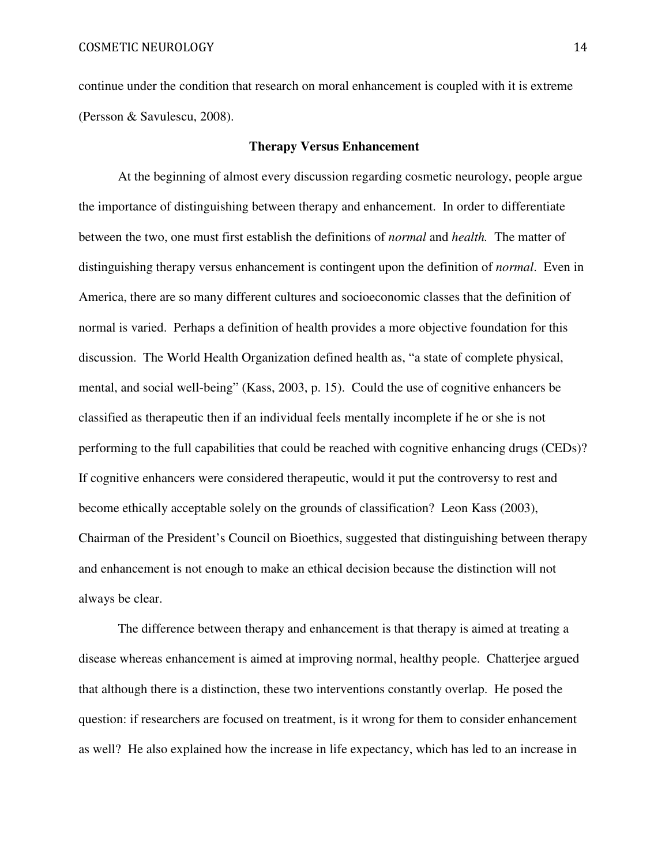continue under the condition that research on moral enhancement is coupled with it is extreme (Persson & Savulescu, 2008).

# **Therapy Versus Enhancement**

At the beginning of almost every discussion regarding cosmetic neurology, people argue the importance of distinguishing between therapy and enhancement. In order to differentiate between the two, one must first establish the definitions of *normal* and *health.* The matter of distinguishing therapy versus enhancement is contingent upon the definition of *normal*. Even in America, there are so many different cultures and socioeconomic classes that the definition of normal is varied. Perhaps a definition of health provides a more objective foundation for this discussion. The World Health Organization defined health as, "a state of complete physical, mental, and social well-being" (Kass, 2003, p. 15). Could the use of cognitive enhancers be classified as therapeutic then if an individual feels mentally incomplete if he or she is not performing to the full capabilities that could be reached with cognitive enhancing drugs (CEDs)? If cognitive enhancers were considered therapeutic, would it put the controversy to rest and become ethically acceptable solely on the grounds of classification? Leon Kass (2003), Chairman of the President's Council on Bioethics, suggested that distinguishing between therapy and enhancement is not enough to make an ethical decision because the distinction will not always be clear.

The difference between therapy and enhancement is that therapy is aimed at treating a disease whereas enhancement is aimed at improving normal, healthy people. Chatterjee argued that although there is a distinction, these two interventions constantly overlap. He posed the question: if researchers are focused on treatment, is it wrong for them to consider enhancement as well? He also explained how the increase in life expectancy, which has led to an increase in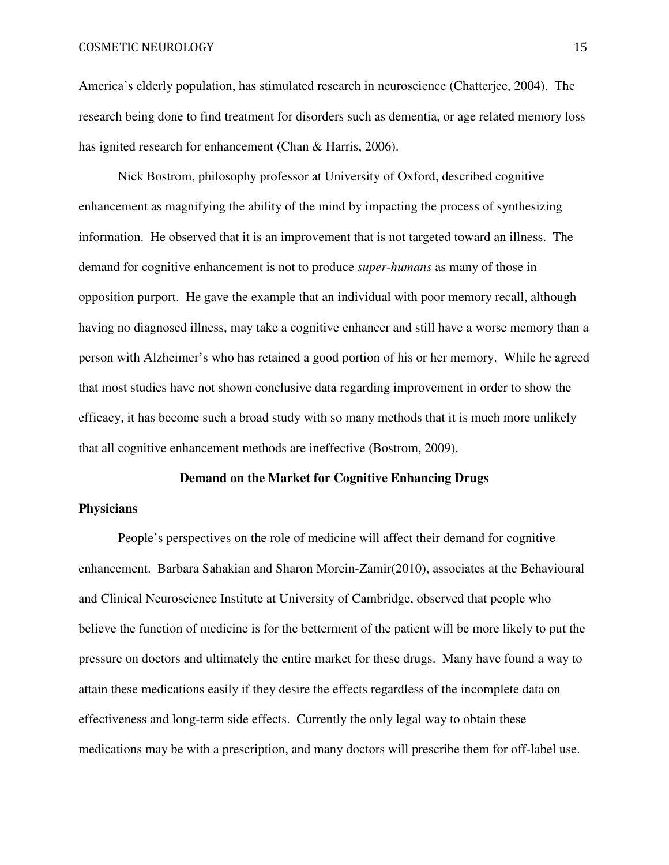America's elderly population, has stimulated research in neuroscience (Chatterjee, 2004). The research being done to find treatment for disorders such as dementia, or age related memory loss has ignited research for enhancement (Chan & Harris, 2006).

Nick Bostrom, philosophy professor at University of Oxford, described cognitive enhancement as magnifying the ability of the mind by impacting the process of synthesizing information. He observed that it is an improvement that is not targeted toward an illness. The demand for cognitive enhancement is not to produce *super-humans* as many of those in opposition purport. He gave the example that an individual with poor memory recall, although having no diagnosed illness, may take a cognitive enhancer and still have a worse memory than a person with Alzheimer's who has retained a good portion of his or her memory. While he agreed that most studies have not shown conclusive data regarding improvement in order to show the efficacy, it has become such a broad study with so many methods that it is much more unlikely that all cognitive enhancement methods are ineffective (Bostrom, 2009).

# **Demand on the Market for Cognitive Enhancing Drugs**

# **Physicians**

People's perspectives on the role of medicine will affect their demand for cognitive enhancement. Barbara Sahakian and Sharon Morein-Zamir(2010), associates at the Behavioural and Clinical Neuroscience Institute at University of Cambridge, observed that people who believe the function of medicine is for the betterment of the patient will be more likely to put the pressure on doctors and ultimately the entire market for these drugs. Many have found a way to attain these medications easily if they desire the effects regardless of the incomplete data on effectiveness and long-term side effects. Currently the only legal way to obtain these medications may be with a prescription, and many doctors will prescribe them for off-label use.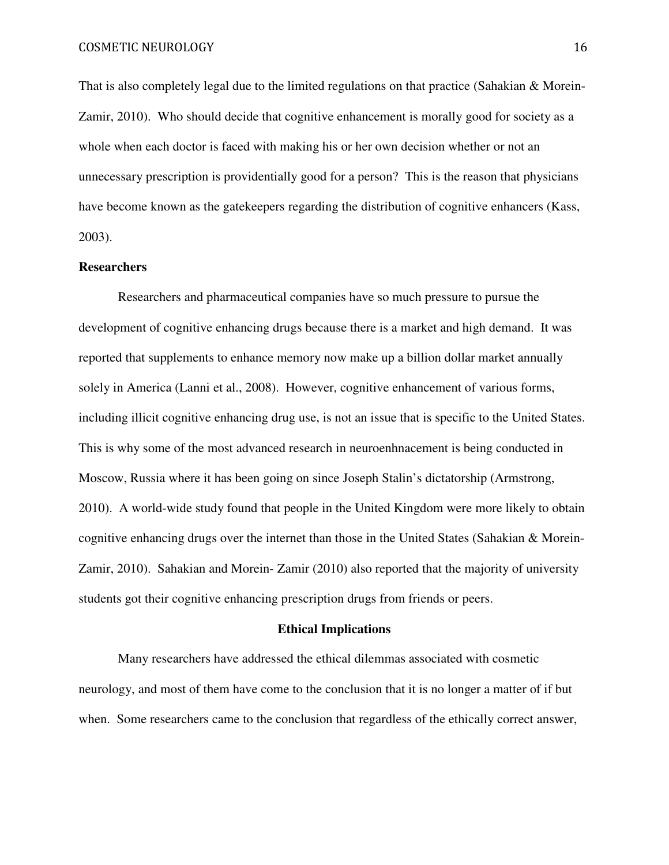That is also completely legal due to the limited regulations on that practice (Sahakian & Morein-Zamir, 2010). Who should decide that cognitive enhancement is morally good for society as a whole when each doctor is faced with making his or her own decision whether or not an unnecessary prescription is providentially good for a person? This is the reason that physicians have become known as the gatekeepers regarding the distribution of cognitive enhancers (Kass, 2003).

# **Researchers**

Researchers and pharmaceutical companies have so much pressure to pursue the development of cognitive enhancing drugs because there is a market and high demand. It was reported that supplements to enhance memory now make up a billion dollar market annually solely in America (Lanni et al., 2008). However, cognitive enhancement of various forms, including illicit cognitive enhancing drug use, is not an issue that is specific to the United States. This is why some of the most advanced research in neuroenhnacement is being conducted in Moscow, Russia where it has been going on since Joseph Stalin's dictatorship (Armstrong, 2010). A world-wide study found that people in the United Kingdom were more likely to obtain cognitive enhancing drugs over the internet than those in the United States (Sahakian & Morein-Zamir, 2010). Sahakian and Morein- Zamir (2010) also reported that the majority of university students got their cognitive enhancing prescription drugs from friends or peers.

#### **Ethical Implications**

Many researchers have addressed the ethical dilemmas associated with cosmetic neurology, and most of them have come to the conclusion that it is no longer a matter of if but when. Some researchers came to the conclusion that regardless of the ethically correct answer,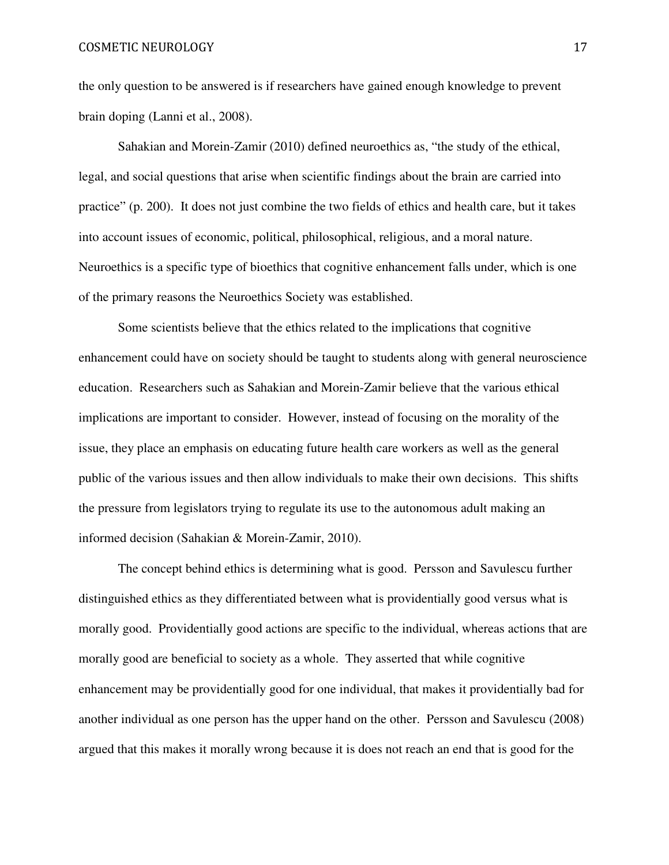the only question to be answered is if researchers have gained enough knowledge to prevent brain doping (Lanni et al., 2008).

Sahakian and Morein-Zamir (2010) defined neuroethics as, "the study of the ethical, legal, and social questions that arise when scientific findings about the brain are carried into practice" (p. 200). It does not just combine the two fields of ethics and health care, but it takes into account issues of economic, political, philosophical, religious, and a moral nature. Neuroethics is a specific type of bioethics that cognitive enhancement falls under, which is one of the primary reasons the Neuroethics Society was established.

Some scientists believe that the ethics related to the implications that cognitive enhancement could have on society should be taught to students along with general neuroscience education. Researchers such as Sahakian and Morein-Zamir believe that the various ethical implications are important to consider. However, instead of focusing on the morality of the issue, they place an emphasis on educating future health care workers as well as the general public of the various issues and then allow individuals to make their own decisions. This shifts the pressure from legislators trying to regulate its use to the autonomous adult making an informed decision (Sahakian & Morein-Zamir, 2010).

The concept behind ethics is determining what is good. Persson and Savulescu further distinguished ethics as they differentiated between what is providentially good versus what is morally good. Providentially good actions are specific to the individual, whereas actions that are morally good are beneficial to society as a whole. They asserted that while cognitive enhancement may be providentially good for one individual, that makes it providentially bad for another individual as one person has the upper hand on the other. Persson and Savulescu (2008) argued that this makes it morally wrong because it is does not reach an end that is good for the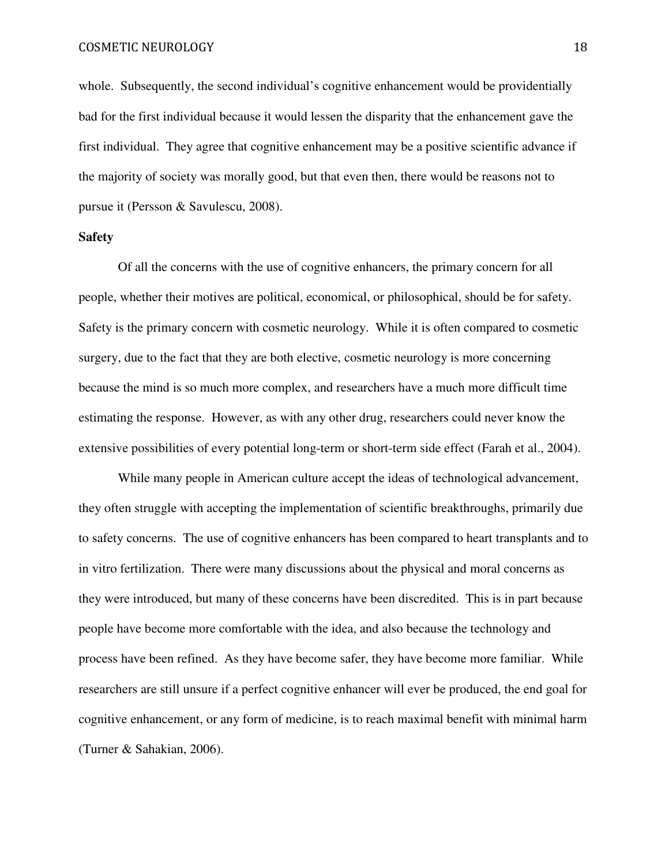whole. Subsequently, the second individual's cognitive enhancement would be providentially bad for the first individual because it would lessen the disparity that the enhancement gave the first individual. They agree that cognitive enhancement may be a positive scientific advance if the majority of society was morally good, but that even then, there would be reasons not to pursue it (Persson & Savulescu, 2008).

# **Safety**

Of all the concerns with the use of cognitive enhancers, the primary concern for all people, whether their motives are political, economical, or philosophical, should be for safety. Safety is the primary concern with cosmetic neurology. While it is often compared to cosmetic surgery, due to the fact that they are both elective, cosmetic neurology is more concerning because the mind is so much more complex, and researchers have a much more difficult time estimating the response. However, as with any other drug, researchers could never know the extensive possibilities of every potential long-term or short-term side effect (Farah et al., 2004).

While many people in American culture accept the ideas of technological advancement, they often struggle with accepting the implementation of scientific breakthroughs, primarily due to safety concerns. The use of cognitive enhancers has been compared to heart transplants and to in vitro fertilization. There were many discussions about the physical and moral concerns as they were introduced, but many of these concerns have been discredited. This is in part because people have become more comfortable with the idea, and also because the technology and process have been refined. As they have become safer, they have become more familiar. While researchers are still unsure if a perfect cognitive enhancer will ever be produced, the end goal for cognitive enhancement, or any form of medicine, is to reach maximal benefit with minimal harm (Turner & Sahakian, 2006).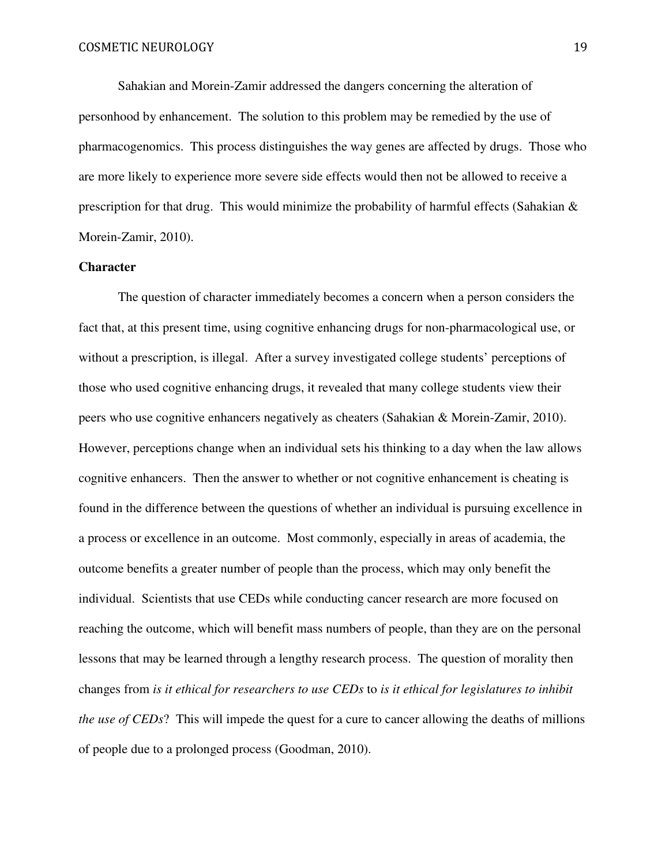Sahakian and Morein-Zamir addressed the dangers concerning the alteration of personhood by enhancement. The solution to this problem may be remedied by the use of pharmacogenomics. This process distinguishes the way genes are affected by drugs. Those who are more likely to experience more severe side effects would then not be allowed to receive a prescription for that drug. This would minimize the probability of harmful effects (Sahakian & Morein-Zamir, 2010).

# **Character**

The question of character immediately becomes a concern when a person considers the fact that, at this present time, using cognitive enhancing drugs for non-pharmacological use, or without a prescription, is illegal. After a survey investigated college students' perceptions of those who used cognitive enhancing drugs, it revealed that many college students view their peers who use cognitive enhancers negatively as cheaters (Sahakian & Morein-Zamir, 2010). However, perceptions change when an individual sets his thinking to a day when the law allows cognitive enhancers. Then the answer to whether or not cognitive enhancement is cheating is found in the difference between the questions of whether an individual is pursuing excellence in a process or excellence in an outcome. Most commonly, especially in areas of academia, the outcome benefits a greater number of people than the process, which may only benefit the individual. Scientists that use CEDs while conducting cancer research are more focused on reaching the outcome, which will benefit mass numbers of people, than they are on the personal lessons that may be learned through a lengthy research process. The question of morality then changes from *is it ethical for researchers to use CEDs* to *is it ethical for legislatures to inhibit the use of CEDs*? This will impede the quest for a cure to cancer allowing the deaths of millions of people due to a prolonged process (Goodman, 2010).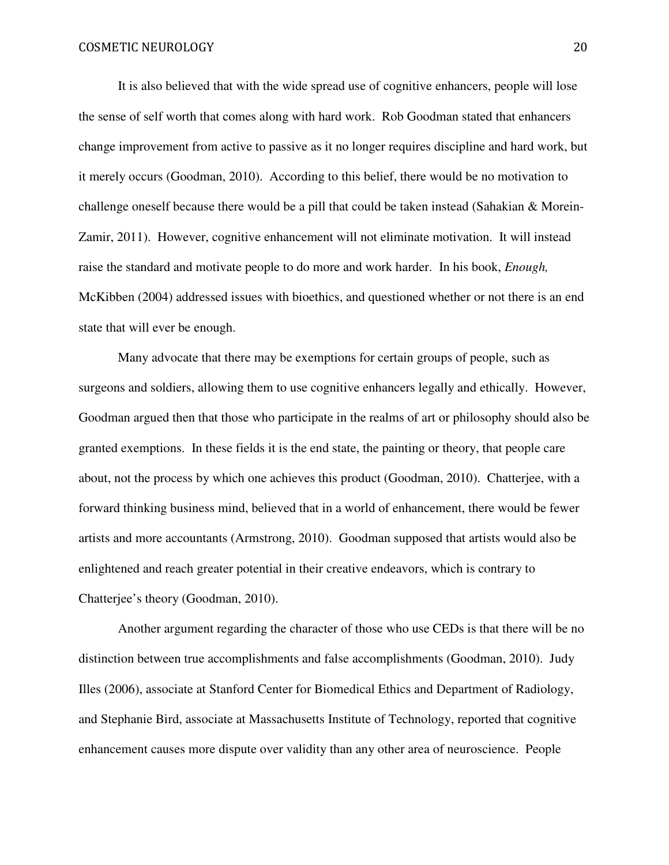It is also believed that with the wide spread use of cognitive enhancers, people will lose the sense of self worth that comes along with hard work. Rob Goodman stated that enhancers change improvement from active to passive as it no longer requires discipline and hard work, but it merely occurs (Goodman, 2010). According to this belief, there would be no motivation to challenge oneself because there would be a pill that could be taken instead (Sahakian & Morein-Zamir, 2011). However, cognitive enhancement will not eliminate motivation. It will instead raise the standard and motivate people to do more and work harder. In his book, *Enough,* McKibben (2004) addressed issues with bioethics, and questioned whether or not there is an end state that will ever be enough.

Many advocate that there may be exemptions for certain groups of people, such as surgeons and soldiers, allowing them to use cognitive enhancers legally and ethically. However, Goodman argued then that those who participate in the realms of art or philosophy should also be granted exemptions. In these fields it is the end state, the painting or theory, that people care about, not the process by which one achieves this product (Goodman, 2010). Chatterjee, with a forward thinking business mind, believed that in a world of enhancement, there would be fewer artists and more accountants (Armstrong, 2010). Goodman supposed that artists would also be enlightened and reach greater potential in their creative endeavors, which is contrary to Chatterjee's theory (Goodman, 2010).

Another argument regarding the character of those who use CEDs is that there will be no distinction between true accomplishments and false accomplishments (Goodman, 2010). Judy Illes (2006), associate at Stanford Center for Biomedical Ethics and Department of Radiology, and Stephanie Bird, associate at Massachusetts Institute of Technology, reported that cognitive enhancement causes more dispute over validity than any other area of neuroscience. People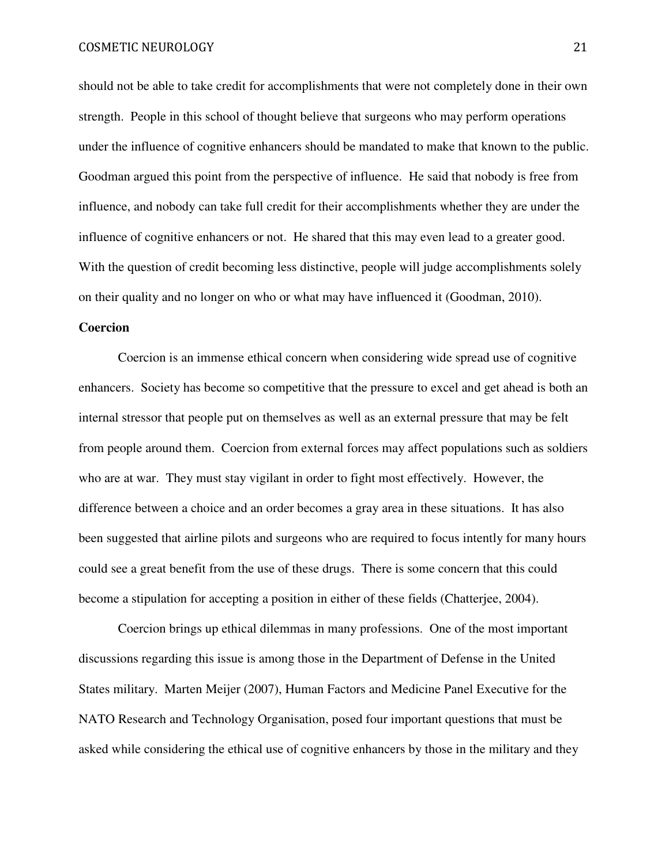should not be able to take credit for accomplishments that were not completely done in their own strength. People in this school of thought believe that surgeons who may perform operations under the influence of cognitive enhancers should be mandated to make that known to the public. Goodman argued this point from the perspective of influence. He said that nobody is free from influence, and nobody can take full credit for their accomplishments whether they are under the influence of cognitive enhancers or not. He shared that this may even lead to a greater good. With the question of credit becoming less distinctive, people will judge accomplishments solely on their quality and no longer on who or what may have influenced it (Goodman, 2010).

### **Coercion**

Coercion is an immense ethical concern when considering wide spread use of cognitive enhancers. Society has become so competitive that the pressure to excel and get ahead is both an internal stressor that people put on themselves as well as an external pressure that may be felt from people around them. Coercion from external forces may affect populations such as soldiers who are at war. They must stay vigilant in order to fight most effectively. However, the difference between a choice and an order becomes a gray area in these situations. It has also been suggested that airline pilots and surgeons who are required to focus intently for many hours could see a great benefit from the use of these drugs. There is some concern that this could become a stipulation for accepting a position in either of these fields (Chatterjee, 2004).

Coercion brings up ethical dilemmas in many professions. One of the most important discussions regarding this issue is among those in the Department of Defense in the United States military. Marten Meijer (2007), Human Factors and Medicine Panel Executive for the NATO Research and Technology Organisation, posed four important questions that must be asked while considering the ethical use of cognitive enhancers by those in the military and they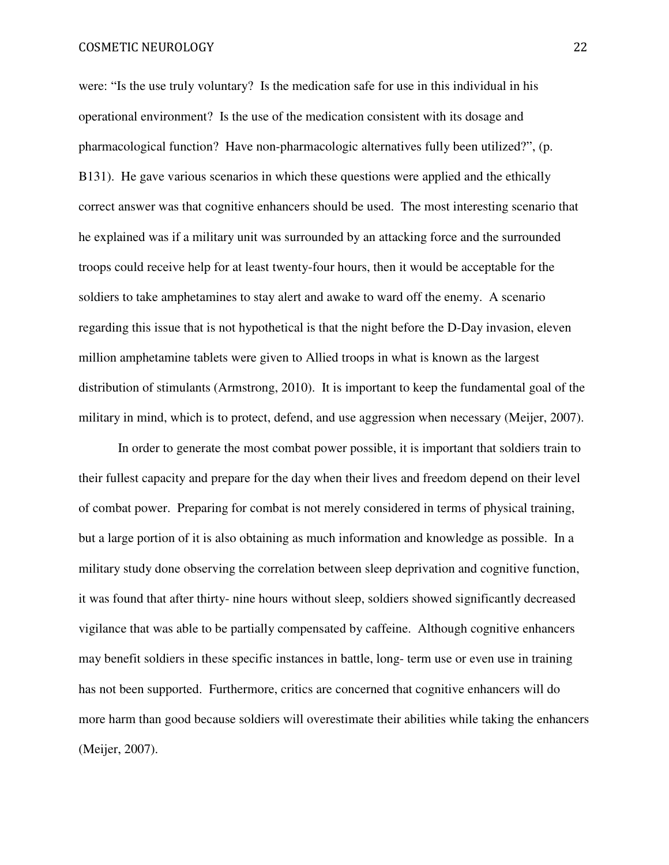were: "Is the use truly voluntary? Is the medication safe for use in this individual in his operational environment? Is the use of the medication consistent with its dosage and pharmacological function? Have non-pharmacologic alternatives fully been utilized?", (p. B131). He gave various scenarios in which these questions were applied and the ethically correct answer was that cognitive enhancers should be used. The most interesting scenario that he explained was if a military unit was surrounded by an attacking force and the surrounded troops could receive help for at least twenty-four hours, then it would be acceptable for the soldiers to take amphetamines to stay alert and awake to ward off the enemy. A scenario regarding this issue that is not hypothetical is that the night before the D-Day invasion, eleven million amphetamine tablets were given to Allied troops in what is known as the largest distribution of stimulants (Armstrong, 2010). It is important to keep the fundamental goal of the military in mind, which is to protect, defend, and use aggression when necessary (Meijer, 2007).

In order to generate the most combat power possible, it is important that soldiers train to their fullest capacity and prepare for the day when their lives and freedom depend on their level of combat power. Preparing for combat is not merely considered in terms of physical training, but a large portion of it is also obtaining as much information and knowledge as possible. In a military study done observing the correlation between sleep deprivation and cognitive function, it was found that after thirty- nine hours without sleep, soldiers showed significantly decreased vigilance that was able to be partially compensated by caffeine. Although cognitive enhancers may benefit soldiers in these specific instances in battle, long- term use or even use in training has not been supported. Furthermore, critics are concerned that cognitive enhancers will do more harm than good because soldiers will overestimate their abilities while taking the enhancers (Meijer, 2007).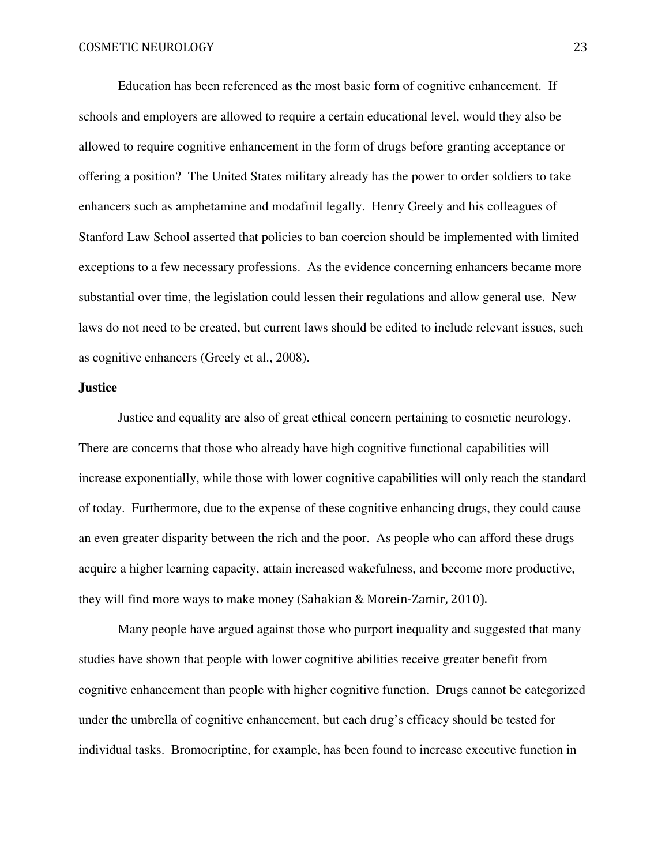Education has been referenced as the most basic form of cognitive enhancement. If schools and employers are allowed to require a certain educational level, would they also be allowed to require cognitive enhancement in the form of drugs before granting acceptance or offering a position? The United States military already has the power to order soldiers to take enhancers such as amphetamine and modafinil legally. Henry Greely and his colleagues of Stanford Law School asserted that policies to ban coercion should be implemented with limited exceptions to a few necessary professions. As the evidence concerning enhancers became more substantial over time, the legislation could lessen their regulations and allow general use. New laws do not need to be created, but current laws should be edited to include relevant issues, such as cognitive enhancers (Greely et al., 2008).

# **Justice**

Justice and equality are also of great ethical concern pertaining to cosmetic neurology. There are concerns that those who already have high cognitive functional capabilities will increase exponentially, while those with lower cognitive capabilities will only reach the standard of today. Furthermore, due to the expense of these cognitive enhancing drugs, they could cause an even greater disparity between the rich and the poor. As people who can afford these drugs acquire a higher learning capacity, attain increased wakefulness, and become more productive, they will find more ways to make money (Sahakian & Morein-Zamir, 2010).

Many people have argued against those who purport inequality and suggested that many studies have shown that people with lower cognitive abilities receive greater benefit from cognitive enhancement than people with higher cognitive function. Drugs cannot be categorized under the umbrella of cognitive enhancement, but each drug's efficacy should be tested for individual tasks. Bromocriptine, for example, has been found to increase executive function in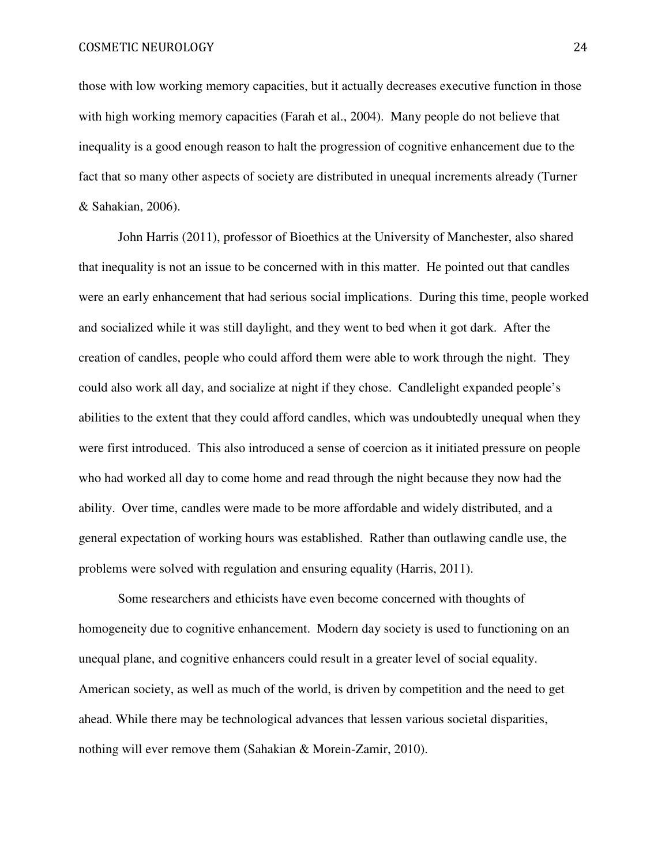those with low working memory capacities, but it actually decreases executive function in those with high working memory capacities (Farah et al., 2004). Many people do not believe that inequality is a good enough reason to halt the progression of cognitive enhancement due to the fact that so many other aspects of society are distributed in unequal increments already (Turner & Sahakian, 2006).

John Harris (2011), professor of Bioethics at the University of Manchester, also shared that inequality is not an issue to be concerned with in this matter. He pointed out that candles were an early enhancement that had serious social implications. During this time, people worked and socialized while it was still daylight, and they went to bed when it got dark. After the creation of candles, people who could afford them were able to work through the night. They could also work all day, and socialize at night if they chose. Candlelight expanded people's abilities to the extent that they could afford candles, which was undoubtedly unequal when they were first introduced. This also introduced a sense of coercion as it initiated pressure on people who had worked all day to come home and read through the night because they now had the ability. Over time, candles were made to be more affordable and widely distributed, and a general expectation of working hours was established. Rather than outlawing candle use, the problems were solved with regulation and ensuring equality (Harris, 2011).

 Some researchers and ethicists have even become concerned with thoughts of homogeneity due to cognitive enhancement. Modern day society is used to functioning on an unequal plane, and cognitive enhancers could result in a greater level of social equality. American society, as well as much of the world, is driven by competition and the need to get ahead. While there may be technological advances that lessen various societal disparities, nothing will ever remove them (Sahakian & Morein-Zamir, 2010).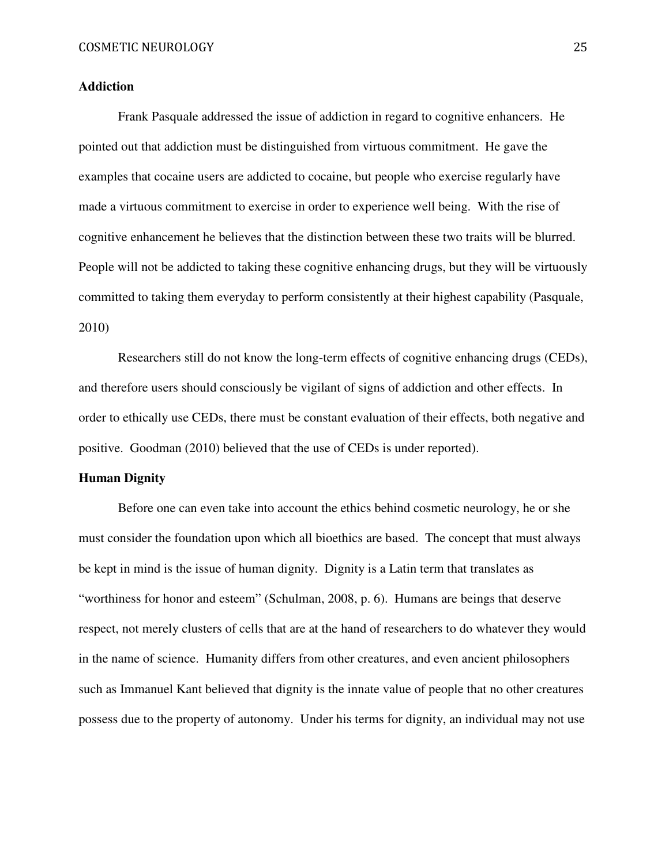# **Addiction**

Frank Pasquale addressed the issue of addiction in regard to cognitive enhancers. He pointed out that addiction must be distinguished from virtuous commitment. He gave the examples that cocaine users are addicted to cocaine, but people who exercise regularly have made a virtuous commitment to exercise in order to experience well being. With the rise of cognitive enhancement he believes that the distinction between these two traits will be blurred. People will not be addicted to taking these cognitive enhancing drugs, but they will be virtuously committed to taking them everyday to perform consistently at their highest capability (Pasquale, 2010)

Researchers still do not know the long-term effects of cognitive enhancing drugs (CEDs), and therefore users should consciously be vigilant of signs of addiction and other effects. In order to ethically use CEDs, there must be constant evaluation of their effects, both negative and positive. Goodman (2010) believed that the use of CEDs is under reported).

# **Human Dignity**

Before one can even take into account the ethics behind cosmetic neurology, he or she must consider the foundation upon which all bioethics are based. The concept that must always be kept in mind is the issue of human dignity. Dignity is a Latin term that translates as "worthiness for honor and esteem" (Schulman, 2008, p. 6). Humans are beings that deserve respect, not merely clusters of cells that are at the hand of researchers to do whatever they would in the name of science. Humanity differs from other creatures, and even ancient philosophers such as Immanuel Kant believed that dignity is the innate value of people that no other creatures possess due to the property of autonomy. Under his terms for dignity, an individual may not use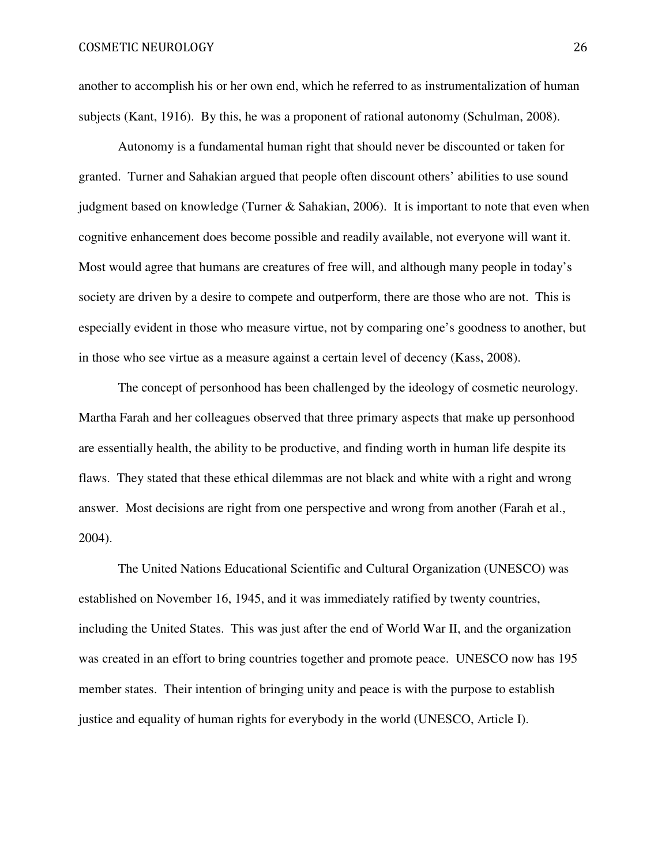another to accomplish his or her own end, which he referred to as instrumentalization of human subjects (Kant, 1916). By this, he was a proponent of rational autonomy (Schulman, 2008).

Autonomy is a fundamental human right that should never be discounted or taken for granted. Turner and Sahakian argued that people often discount others' abilities to use sound judgment based on knowledge (Turner & Sahakian, 2006). It is important to note that even when cognitive enhancement does become possible and readily available, not everyone will want it. Most would agree that humans are creatures of free will, and although many people in today's society are driven by a desire to compete and outperform, there are those who are not. This is especially evident in those who measure virtue, not by comparing one's goodness to another, but in those who see virtue as a measure against a certain level of decency (Kass, 2008).

The concept of personhood has been challenged by the ideology of cosmetic neurology. Martha Farah and her colleagues observed that three primary aspects that make up personhood are essentially health, the ability to be productive, and finding worth in human life despite its flaws. They stated that these ethical dilemmas are not black and white with a right and wrong answer. Most decisions are right from one perspective and wrong from another (Farah et al., 2004).

The United Nations Educational Scientific and Cultural Organization (UNESCO) was established on November 16, 1945, and it was immediately ratified by twenty countries, including the United States. This was just after the end of World War II, and the organization was created in an effort to bring countries together and promote peace. UNESCO now has 195 member states. Their intention of bringing unity and peace is with the purpose to establish justice and equality of human rights for everybody in the world (UNESCO, Article I).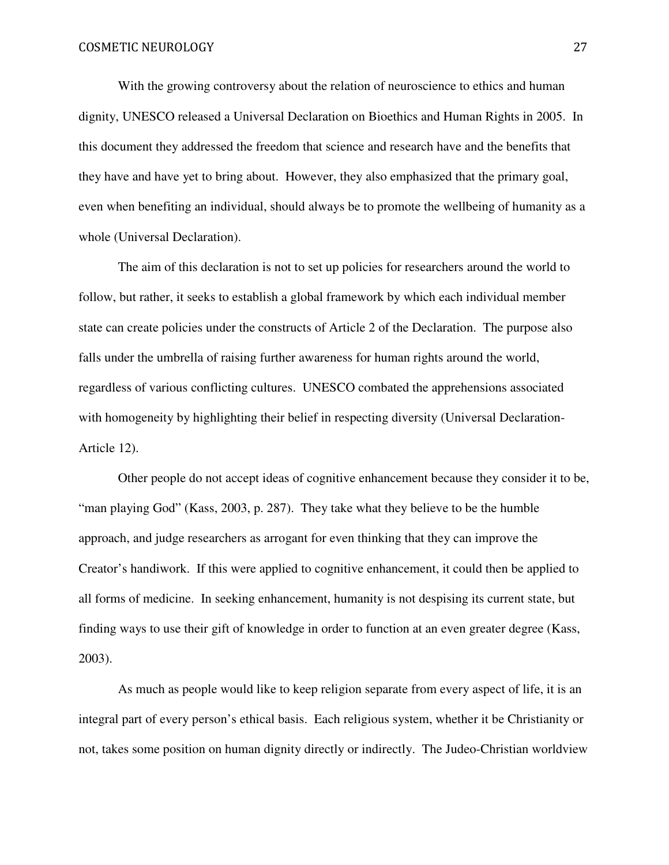With the growing controversy about the relation of neuroscience to ethics and human dignity, UNESCO released a Universal Declaration on Bioethics and Human Rights in 2005. In this document they addressed the freedom that science and research have and the benefits that they have and have yet to bring about. However, they also emphasized that the primary goal, even when benefiting an individual, should always be to promote the wellbeing of humanity as a whole (Universal Declaration).

The aim of this declaration is not to set up policies for researchers around the world to follow, but rather, it seeks to establish a global framework by which each individual member state can create policies under the constructs of Article 2 of the Declaration. The purpose also falls under the umbrella of raising further awareness for human rights around the world, regardless of various conflicting cultures. UNESCO combated the apprehensions associated with homogeneity by highlighting their belief in respecting diversity (Universal Declaration-Article 12).

Other people do not accept ideas of cognitive enhancement because they consider it to be, "man playing God" (Kass, 2003, p. 287). They take what they believe to be the humble approach, and judge researchers as arrogant for even thinking that they can improve the Creator's handiwork. If this were applied to cognitive enhancement, it could then be applied to all forms of medicine. In seeking enhancement, humanity is not despising its current state, but finding ways to use their gift of knowledge in order to function at an even greater degree (Kass, 2003).

As much as people would like to keep religion separate from every aspect of life, it is an integral part of every person's ethical basis. Each religious system, whether it be Christianity or not, takes some position on human dignity directly or indirectly. The Judeo-Christian worldview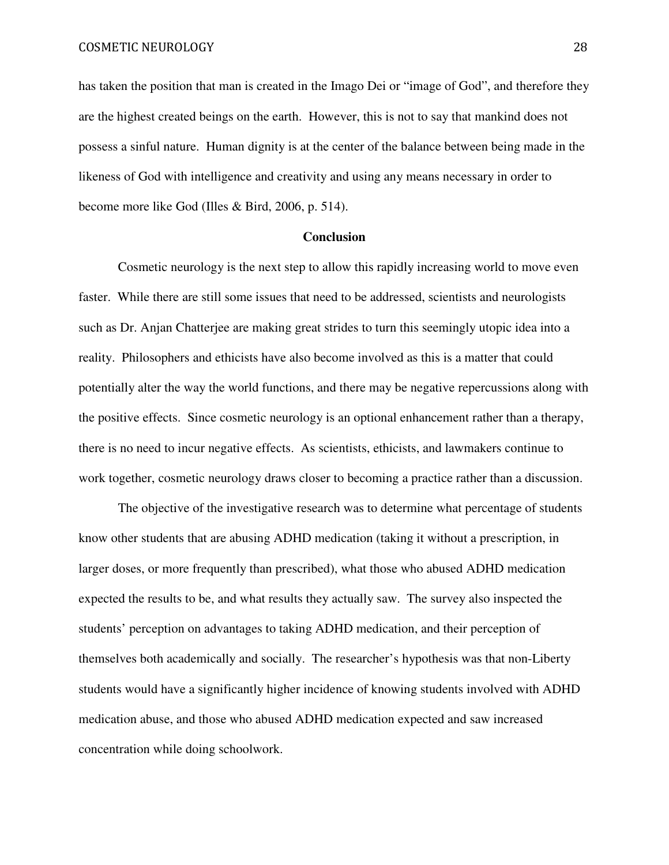has taken the position that man is created in the Imago Dei or "image of God", and therefore they are the highest created beings on the earth. However, this is not to say that mankind does not possess a sinful nature. Human dignity is at the center of the balance between being made in the likeness of God with intelligence and creativity and using any means necessary in order to become more like God (Illes & Bird, 2006, p. 514).

#### **Conclusion**

Cosmetic neurology is the next step to allow this rapidly increasing world to move even faster. While there are still some issues that need to be addressed, scientists and neurologists such as Dr. Anjan Chatterjee are making great strides to turn this seemingly utopic idea into a reality. Philosophers and ethicists have also become involved as this is a matter that could potentially alter the way the world functions, and there may be negative repercussions along with the positive effects. Since cosmetic neurology is an optional enhancement rather than a therapy, there is no need to incur negative effects. As scientists, ethicists, and lawmakers continue to work together, cosmetic neurology draws closer to becoming a practice rather than a discussion.

The objective of the investigative research was to determine what percentage of students know other students that are abusing ADHD medication (taking it without a prescription, in larger doses, or more frequently than prescribed), what those who abused ADHD medication expected the results to be, and what results they actually saw. The survey also inspected the students' perception on advantages to taking ADHD medication, and their perception of themselves both academically and socially. The researcher's hypothesis was that non-Liberty students would have a significantly higher incidence of knowing students involved with ADHD medication abuse, and those who abused ADHD medication expected and saw increased concentration while doing schoolwork.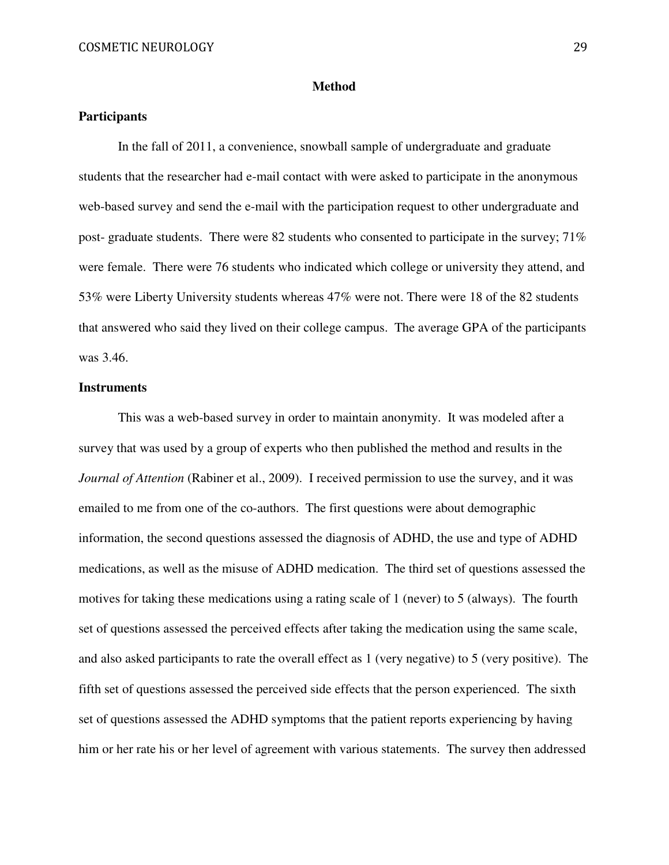## **Method**

# **Participants**

In the fall of 2011, a convenience, snowball sample of undergraduate and graduate students that the researcher had e-mail contact with were asked to participate in the anonymous web-based survey and send the e-mail with the participation request to other undergraduate and post- graduate students. There were 82 students who consented to participate in the survey; 71% were female. There were 76 students who indicated which college or university they attend, and 53% were Liberty University students whereas 47% were not. There were 18 of the 82 students that answered who said they lived on their college campus. The average GPA of the participants was 3.46.

# **Instruments**

This was a web-based survey in order to maintain anonymity. It was modeled after a survey that was used by a group of experts who then published the method and results in the *Journal of Attention* (Rabiner et al., 2009). I received permission to use the survey, and it was emailed to me from one of the co-authors. The first questions were about demographic information, the second questions assessed the diagnosis of ADHD, the use and type of ADHD medications, as well as the misuse of ADHD medication. The third set of questions assessed the motives for taking these medications using a rating scale of 1 (never) to 5 (always). The fourth set of questions assessed the perceived effects after taking the medication using the same scale, and also asked participants to rate the overall effect as 1 (very negative) to 5 (very positive). The fifth set of questions assessed the perceived side effects that the person experienced. The sixth set of questions assessed the ADHD symptoms that the patient reports experiencing by having him or her rate his or her level of agreement with various statements. The survey then addressed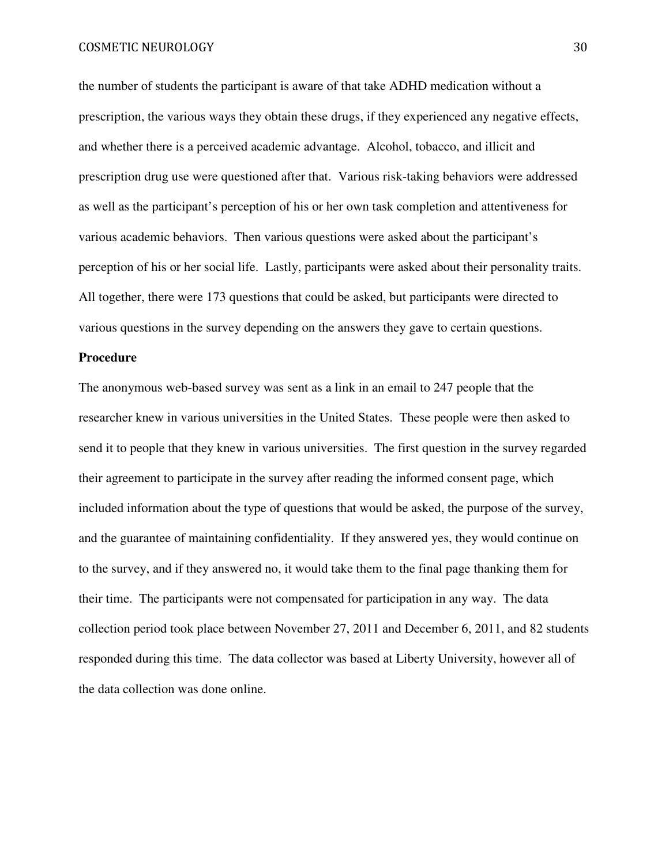the number of students the participant is aware of that take ADHD medication without a prescription, the various ways they obtain these drugs, if they experienced any negative effects, and whether there is a perceived academic advantage. Alcohol, tobacco, and illicit and prescription drug use were questioned after that. Various risk-taking behaviors were addressed as well as the participant's perception of his or her own task completion and attentiveness for various academic behaviors. Then various questions were asked about the participant's perception of his or her social life. Lastly, participants were asked about their personality traits. All together, there were 173 questions that could be asked, but participants were directed to various questions in the survey depending on the answers they gave to certain questions.

# **Procedure**

The anonymous web-based survey was sent as a link in an email to 247 people that the researcher knew in various universities in the United States. These people were then asked to send it to people that they knew in various universities. The first question in the survey regarded their agreement to participate in the survey after reading the informed consent page, which included information about the type of questions that would be asked, the purpose of the survey, and the guarantee of maintaining confidentiality. If they answered yes, they would continue on to the survey, and if they answered no, it would take them to the final page thanking them for their time. The participants were not compensated for participation in any way. The data collection period took place between November 27, 2011 and December 6, 2011, and 82 students responded during this time. The data collector was based at Liberty University, however all of the data collection was done online.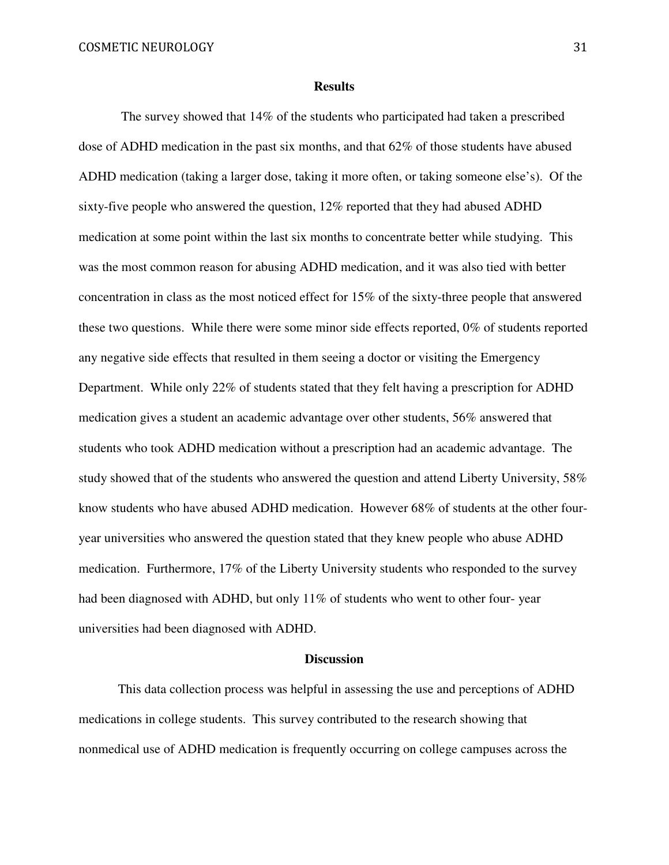#### **Results**

 The survey showed that 14% of the students who participated had taken a prescribed dose of ADHD medication in the past six months, and that 62% of those students have abused ADHD medication (taking a larger dose, taking it more often, or taking someone else's). Of the sixty-five people who answered the question, 12% reported that they had abused ADHD medication at some point within the last six months to concentrate better while studying. This was the most common reason for abusing ADHD medication, and it was also tied with better concentration in class as the most noticed effect for 15% of the sixty-three people that answered these two questions. While there were some minor side effects reported, 0% of students reported any negative side effects that resulted in them seeing a doctor or visiting the Emergency Department. While only 22% of students stated that they felt having a prescription for ADHD medication gives a student an academic advantage over other students, 56% answered that students who took ADHD medication without a prescription had an academic advantage. The study showed that of the students who answered the question and attend Liberty University, 58% know students who have abused ADHD medication. However 68% of students at the other fouryear universities who answered the question stated that they knew people who abuse ADHD medication. Furthermore, 17% of the Liberty University students who responded to the survey had been diagnosed with ADHD, but only 11% of students who went to other four-vear universities had been diagnosed with ADHD.

#### **Discussion**

This data collection process was helpful in assessing the use and perceptions of ADHD medications in college students. This survey contributed to the research showing that nonmedical use of ADHD medication is frequently occurring on college campuses across the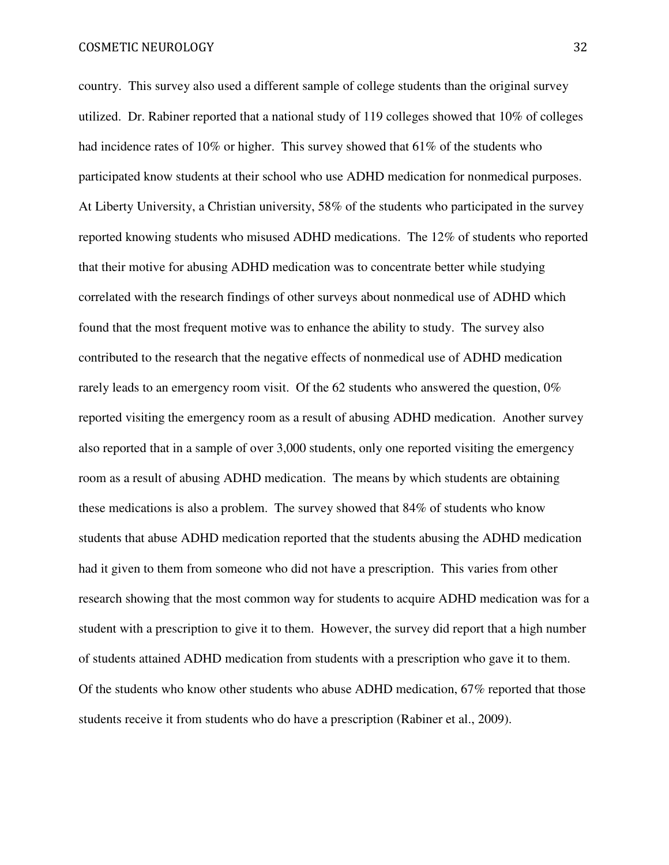country. This survey also used a different sample of college students than the original survey utilized. Dr. Rabiner reported that a national study of 119 colleges showed that 10% of colleges had incidence rates of 10% or higher. This survey showed that 61% of the students who participated know students at their school who use ADHD medication for nonmedical purposes. At Liberty University, a Christian university, 58% of the students who participated in the survey reported knowing students who misused ADHD medications. The 12% of students who reported that their motive for abusing ADHD medication was to concentrate better while studying correlated with the research findings of other surveys about nonmedical use of ADHD which found that the most frequent motive was to enhance the ability to study. The survey also contributed to the research that the negative effects of nonmedical use of ADHD medication rarely leads to an emergency room visit. Of the 62 students who answered the question, 0% reported visiting the emergency room as a result of abusing ADHD medication. Another survey also reported that in a sample of over 3,000 students, only one reported visiting the emergency room as a result of abusing ADHD medication. The means by which students are obtaining these medications is also a problem. The survey showed that 84% of students who know students that abuse ADHD medication reported that the students abusing the ADHD medication had it given to them from someone who did not have a prescription. This varies from other research showing that the most common way for students to acquire ADHD medication was for a student with a prescription to give it to them. However, the survey did report that a high number of students attained ADHD medication from students with a prescription who gave it to them. Of the students who know other students who abuse ADHD medication, 67% reported that those students receive it from students who do have a prescription (Rabiner et al., 2009).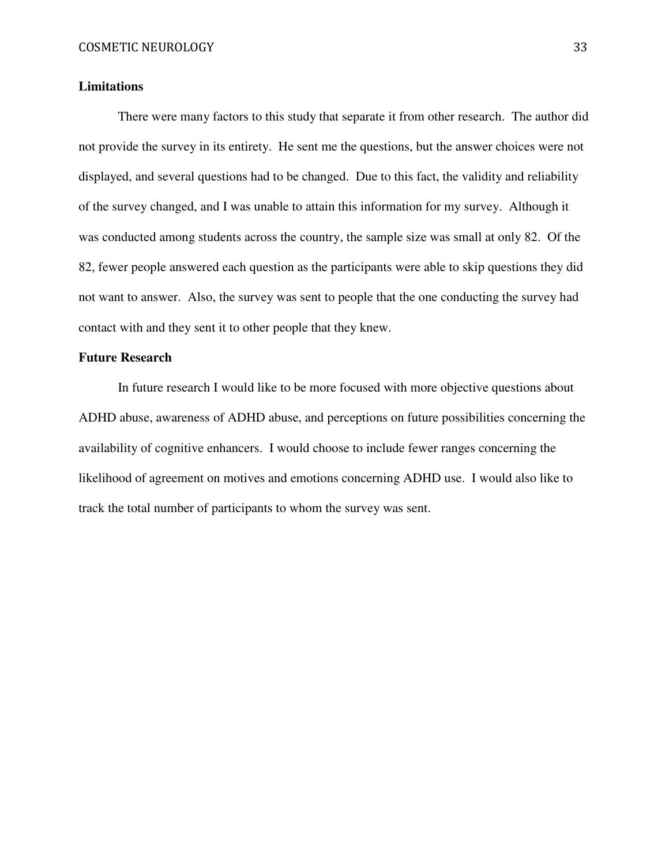# **Limitations**

There were many factors to this study that separate it from other research. The author did not provide the survey in its entirety. He sent me the questions, but the answer choices were not displayed, and several questions had to be changed. Due to this fact, the validity and reliability of the survey changed, and I was unable to attain this information for my survey. Although it was conducted among students across the country, the sample size was small at only 82. Of the 82, fewer people answered each question as the participants were able to skip questions they did not want to answer. Also, the survey was sent to people that the one conducting the survey had contact with and they sent it to other people that they knew.

# **Future Research**

In future research I would like to be more focused with more objective questions about ADHD abuse, awareness of ADHD abuse, and perceptions on future possibilities concerning the availability of cognitive enhancers. I would choose to include fewer ranges concerning the likelihood of agreement on motives and emotions concerning ADHD use. I would also like to track the total number of participants to whom the survey was sent.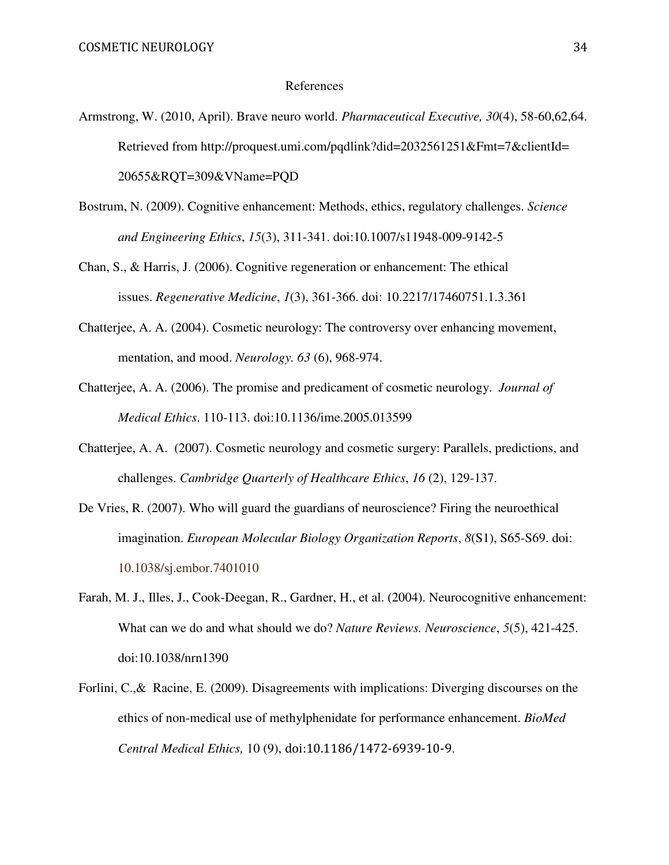#### References

- Armstrong, W. (2010, April). Brave neuro world. *Pharmaceutical Executive, 30*(4), 58-60,62,64. Retrieved from http://proquest.umi.com/pqdlink?did=2032561251&Fmt=7&clientId= 20655&RQT=309&VName=PQD
- Bostrum, N. (2009). Cognitive enhancement: Methods, ethics, regulatory challenges. *Science and Engineering Ethics*, *15*(3), 311-341. doi:10.1007/s11948-009-9142-5
- Chan, S., & Harris, J. (2006). Cognitive regeneration or enhancement: The ethical issues. *Regenerative Medicine*, *1*(3), 361-366. doi: 10.2217/17460751.1.3.361
- Chatterjee, A. A. (2004). Cosmetic neurology: The controversy over enhancing movement, mentation, and mood. *Neurology. 63* (6), 968-974.
- Chatterjee, A. A. (2006). The promise and predicament of cosmetic neurology. *Journal of Medical Ethics*. 110-113. doi:10.1136/ime.2005.013599
- Chatterjee, A. A. (2007). Cosmetic neurology and cosmetic surgery: Parallels, predictions, and challenges. *Cambridge Quarterly of Healthcare Ethics*, *16* (2), 129-137.
- De Vries, R. (2007). Who will guard the guardians of neuroscience? Firing the neuroethical imagination. *European Molecular Biology Organization Reports*, *8*(S1), S65-S69. doi: 10.1038/sj.embor.7401010
- Farah, M. J., Illes, J., Cook-Deegan, R., Gardner, H., et al. (2004). Neurocognitive enhancement: What can we do and what should we do? *Nature Reviews. Neuroscience*, *5*(5), 421-425. doi:10.1038/nrn1390
- Forlini, C.,& Racine, E. (2009). Disagreements with implications: Diverging discourses on the ethics of non-medical use of methylphenidate for performance enhancement. *BioMed Central Medical Ethics,* 10 (9), doi:10.1186/1472-6939-10-9.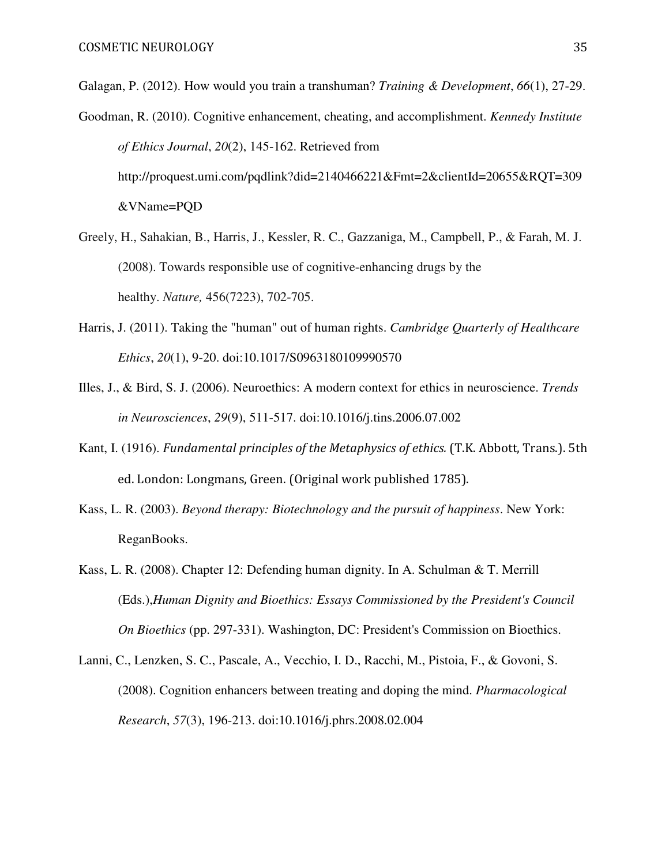Galagan, P. (2012). How would you train a transhuman? *Training & Development*, *66*(1), 27-29.

- Goodman, R. (2010). Cognitive enhancement, cheating, and accomplishment. *Kennedy Institute of Ethics Journal*, *20*(2), 145-162. Retrieved from http://proquest.umi.com/pqdlink?did=2140466221&Fmt=2&clientId=20655&RQT=309 &VName=PQD
- Greely, H., Sahakian, B., Harris, J., Kessler, R. C., Gazzaniga, M., Campbell, P., & Farah, M. J. (2008). Towards responsible use of cognitive-enhancing drugs by the healthy. *Nature,* 456(7223), 702-705.
- Harris, J. (2011). Taking the "human" out of human rights. *Cambridge Quarterly of Healthcare Ethics*, *20*(1), 9-20. doi:10.1017/S0963180109990570
- Illes, J., & Bird, S. J. (2006). Neuroethics: A modern context for ethics in neuroscience. *Trends in Neurosciences*, *29*(9), 511-517. doi:10.1016/j.tins.2006.07.002
- Kant, I. (1916). Fundamental principles of the Metaphysics of ethics. (T.K. Abbott, Trans.). 5th ed. London: Longmans, Green. (Original work published 1785).
- Kass, L. R. (2003). *Beyond therapy: Biotechnology and the pursuit of happiness*. New York: ReganBooks.
- Kass, L. R. (2008). Chapter 12: Defending human dignity. In A. Schulman & T. Merrill (Eds.),*Human Dignity and Bioethics: Essays Commissioned by the President's Council On Bioethics* (pp. 297-331). Washington, DC: President's Commission on Bioethics.
- Lanni, C., Lenzken, S. C., Pascale, A., Vecchio, I. D., Racchi, M., Pistoia, F., & Govoni, S. (2008). Cognition enhancers between treating and doping the mind. *Pharmacological Research*, *57*(3), 196-213. doi:10.1016/j.phrs.2008.02.004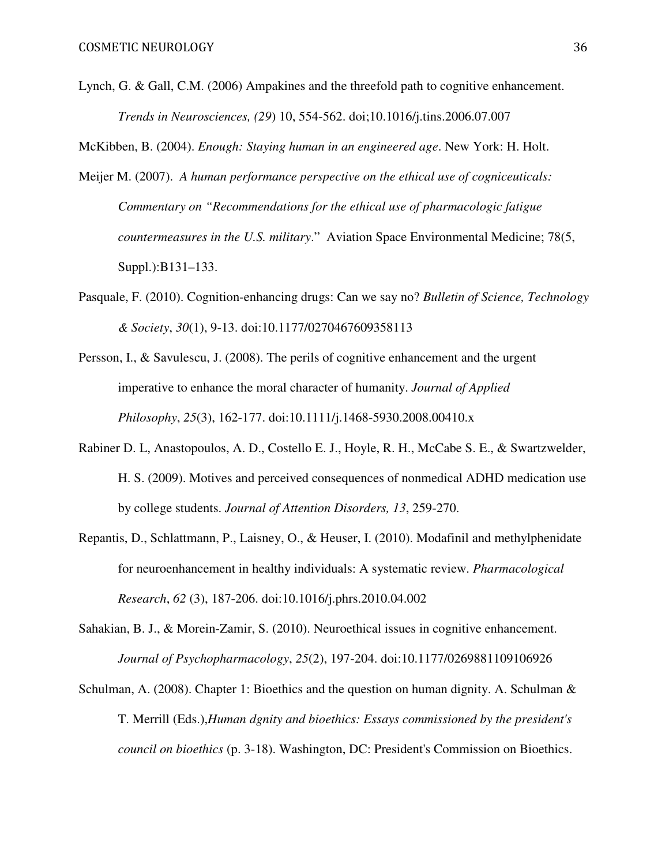Lynch, G. & Gall, C.M. (2006) Ampakines and the threefold path to cognitive enhancement. *Trends in Neurosciences, (29*) 10, 554-562. doi;10.1016/j.tins.2006.07.007

McKibben, B. (2004). *Enough: Staying human in an engineered age*. New York: H. Holt.

- Meijer M. (2007). *A human performance perspective on the ethical use of cogniceuticals: Commentary on "Recommendations for the ethical use of pharmacologic fatigue countermeasures in the U.S. military*." Aviation Space Environmental Medicine; 78(5, Suppl.):B131–133.
- Pasquale, F. (2010). Cognition-enhancing drugs: Can we say no? *Bulletin of Science, Technology & Society*, *30*(1), 9-13. doi:10.1177/0270467609358113
- Persson, I., & Savulescu, J. (2008). The perils of cognitive enhancement and the urgent imperative to enhance the moral character of humanity. *Journal of Applied Philosophy*, *25*(3), 162-177. doi:10.1111/j.1468-5930.2008.00410.x
- Rabiner D. L, Anastopoulos, A. D., Costello E. J., Hoyle, R. H., McCabe S. E., & Swartzwelder, H. S. (2009). Motives and perceived consequences of nonmedical ADHD medication use by college students. *Journal of Attention Disorders, 13*, 259-270.
- Repantis, D., Schlattmann, P., Laisney, O., & Heuser, I. (2010). Modafinil and methylphenidate for neuroenhancement in healthy individuals: A systematic review. *Pharmacological Research*, *62* (3), 187-206. doi:10.1016/j.phrs.2010.04.002
- Sahakian, B. J., & Morein-Zamir, S. (2010). Neuroethical issues in cognitive enhancement. *Journal of Psychopharmacology*, *25*(2), 197-204. doi:10.1177/0269881109106926
- Schulman, A. (2008). Chapter 1: Bioethics and the question on human dignity. A. Schulman & T. Merrill (Eds.),*Human dgnity and bioethics: Essays commissioned by the president's council on bioethics* (p. 3-18). Washington, DC: President's Commission on Bioethics.